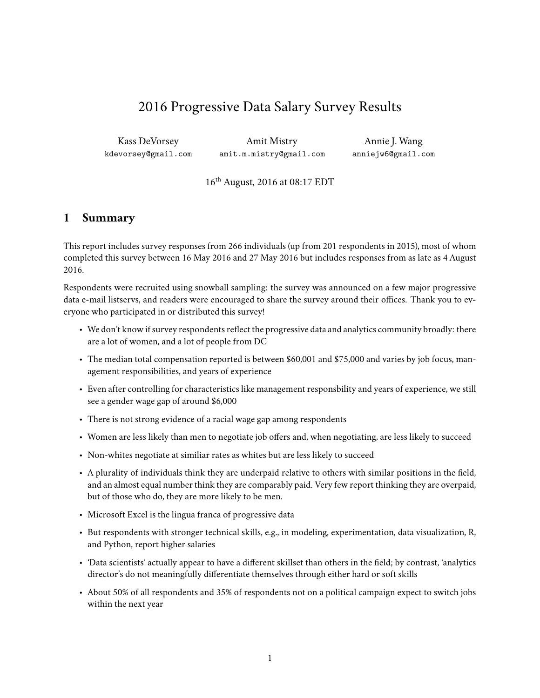# 2016 Progressive Data Salary Survey Results

Kass DeVorsey kdevorsey@gmail.com

Amit Mistry amit.m.mistry@gmail.com

Annie J. Wang anniejw6@gmail.com

16th August, 2016 at 08:17 EDT

## <span id="page-0-0"></span>**1 Summary**

This report includes survey responses from 266 individuals (up from 201 respondents in 2015), most of whom completed this survey between 16 May 2016 and 27 May 2016 but includes responses from as late as 4 August 2016.

Respondents were recruited using [snowball sampling:](https://en.wikipedia.org/wiki/Snowball_sampling) the survey was announced on a few major progressive data e-mail listservs, and readers were encouraged to share the survey around their offices. Thank you to everyone who participated in or distributed this survey!

- We don't know if survey respondents reflect the progressive data and analytics community broadly: there are a lot of women, and a lot of people from DC
- The median total compensation reported is between \$60,001 and \$75,000 and varies by job focus, management responsibilities, and years of experience
- Even after controlling for characteristics like management responsbility and years of experience, we still see a gender wage gap of around \$6,000
- There is not strong evidence of a racial wage gap among respondents
- Women are less likely than men to negotiate job offers and, when negotiating, are less likely to succeed
- Non-whites negotiate at similiar rates as whites but are less likely to succeed
- A plurality of individuals think they are underpaid relative to others with similar positions in the field, and an almost equal number think they are comparably paid. Very few report thinking they are overpaid, but of those who do, they are more likely to be men.
- Microsoft Excel is the lingua franca of progressive data
- But respondents with stronger technical skills, e.g., in modeling, experimentation, data visualization, R, and Python, report higher salaries
- 'Data scientists' actually appear to have a different skillset than others in the field; by contrast, 'analytics director's do not meaningfully differentiate themselves through either hard or soft skills
- About 50% of all respondents and 35% of respondents not on a political campaign expect to switch jobs within the next year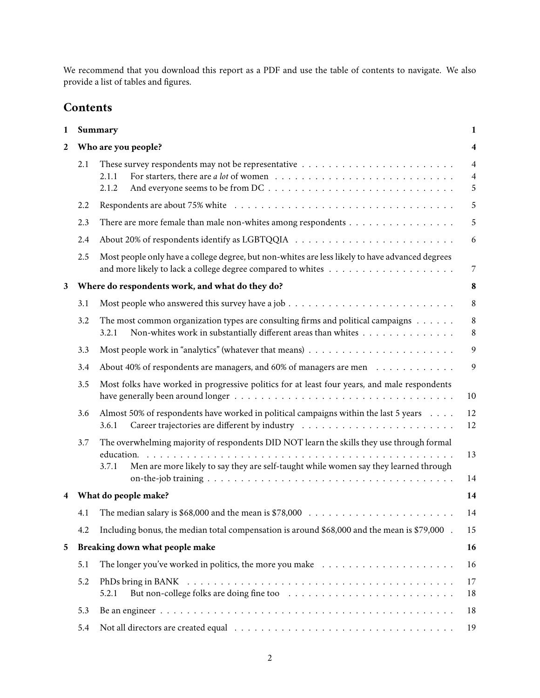We recommend that you download this report as a PDF and use the table of contents to navigate. We also provide a [list of tables and figures.](#page-49-0)

## **Contents**

| 1            |     | Summary                                                                                                                                                                                    | 1                                     |
|--------------|-----|--------------------------------------------------------------------------------------------------------------------------------------------------------------------------------------------|---------------------------------------|
| $\mathbf{2}$ |     | Who are you people?                                                                                                                                                                        | $\overline{\mathbf{4}}$               |
|              | 2.1 | 2.1.1<br>2.1.2                                                                                                                                                                             | $\overline{4}$<br>$\overline{4}$<br>5 |
|              | 2.2 |                                                                                                                                                                                            | 5                                     |
|              | 2.3 | There are more female than male non-whites among respondents                                                                                                                               | 5                                     |
|              | 2.4 | About 20% of respondents identify as LGBTQQIA $\ldots \ldots \ldots \ldots \ldots \ldots \ldots \ldots \ldots$                                                                             | 6                                     |
|              | 2.5 | Most people only have a college degree, but non-whites are less likely to have advanced degrees                                                                                            | $\overline{7}$                        |
| 3            |     | Where do respondents work, and what do they do?                                                                                                                                            | 8                                     |
|              | 3.1 |                                                                                                                                                                                            | $\,8\,$                               |
|              | 3.2 | The most common organization types are consulting firms and political campaigns $\dots \dots$<br>Non-whites work in substantially different areas than whites<br>3.2.1                     | $\,8\,$<br>$\,8\,$                    |
|              | 3.3 |                                                                                                                                                                                            | 9                                     |
|              | 3.4 | About 40% of respondents are managers, and 60% of managers are men                                                                                                                         | 9                                     |
|              | 3.5 | Most folks have worked in progressive politics for at least four years, and male respondents                                                                                               | 10                                    |
|              | 3.6 | Almost 50% of respondents have worked in political campaigns within the last 5 years<br>3.6.1                                                                                              | 12<br>12                              |
|              | 3.7 | The overwhelming majority of respondents DID NOT learn the skills they use through formal<br>Men are more likely to say they are self-taught while women say they learned through<br>3.7.1 | 13<br>14                              |
| 4            |     | What do people make?                                                                                                                                                                       | 14                                    |
|              | 4.1 | The median salary is \$68,000 and the mean is \$78,000 $\ldots \ldots \ldots \ldots \ldots \ldots \ldots \ldots$                                                                           | 14                                    |
|              | 4.2 | Including bonus, the median total compensation is around \$68,000 and the mean is \$79,000.                                                                                                | 15                                    |
| 5            |     | Breaking down what people make                                                                                                                                                             | 16                                    |
|              | 5.1 | The longer you've worked in politics, the more you make $\dots \dots \dots \dots \dots \dots \dots$                                                                                        | 16                                    |
|              | 5.2 | 5.2.1                                                                                                                                                                                      | 17<br>18                              |
|              | 5.3 |                                                                                                                                                                                            | 18                                    |
|              | 5.4 |                                                                                                                                                                                            | 19                                    |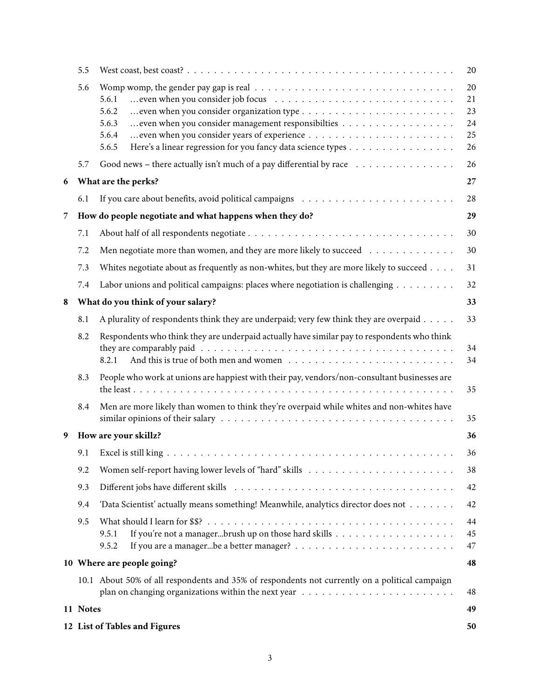|   | 5.5      |                                                                                                                                                                                                                           | 20                               |
|---|----------|---------------------------------------------------------------------------------------------------------------------------------------------------------------------------------------------------------------------------|----------------------------------|
|   | 5.6      | even when you consider job focus $\ldots \ldots \ldots \ldots \ldots \ldots \ldots \ldots \ldots \ldots$<br>5.6.1<br>5.6.2<br>5.6.3<br>5.6.4<br>Here's a linear regression for you fancy data science types<br>5.6.5      | 20<br>21<br>23<br>24<br>25<br>26 |
|   | 5.7      | Good news – there actually isn't much of a pay differential by race $\dots \dots \dots \dots \dots$                                                                                                                       | 26                               |
| 6 |          | What are the perks?                                                                                                                                                                                                       | 27                               |
|   | 6.1      |                                                                                                                                                                                                                           | 28                               |
| 7 |          | How do people negotiate and what happens when they do?                                                                                                                                                                    | 29                               |
|   | 7.1      |                                                                                                                                                                                                                           | 30                               |
|   | 7.2      | Men negotiate more than women, and they are more likely to succeed                                                                                                                                                        | 30                               |
|   | 7.3      | Whites negotiate about as frequently as non-whites, but they are more likely to succeed                                                                                                                                   | 31                               |
|   | 7.4      | Labor unions and political campaigns: places where negotiation is challenging $\dots \dots \dots$                                                                                                                         | 32                               |
| 8 |          | What do you think of your salary?                                                                                                                                                                                         | 33                               |
|   | 8.1      | A plurality of respondents think they are underpaid; very few think they are overpaid                                                                                                                                     | 33                               |
|   | 8.2      | Respondents who think they are underpaid actually have similar pay to respondents who think<br>8.2.1                                                                                                                      | 34<br>34                         |
|   | 8.3      | People who work at unions are happiest with their pay, vendors/non-consultant businesses are                                                                                                                              | 35                               |
|   | 8.4      | Men are more likely than women to think they're overpaid while whites and non-whites have<br>similar opinions of their salary $\dots \dots \dots \dots \dots \dots \dots \dots \dots \dots \dots \dots \dots \dots \dots$ | 35                               |
| 9 |          | How are your skillz?                                                                                                                                                                                                      | 36                               |
|   | 9.1      |                                                                                                                                                                                                                           | 36                               |
|   | 9.2      |                                                                                                                                                                                                                           | 38                               |
|   | 9.3      |                                                                                                                                                                                                                           | 42                               |
|   | 9.4      | 'Data Scientist' actually means something! Meanwhile, analytics director does not                                                                                                                                         | 42                               |
|   | 9.5      | 9.5.1<br>9.5.2                                                                                                                                                                                                            | 44<br>45<br>47                   |
|   |          | 10 Where are people going?                                                                                                                                                                                                | 48                               |
|   |          | 10.1 About 50% of all respondents and 35% of respondents not currently on a political campaign                                                                                                                            | 48                               |
|   | 11 Notes |                                                                                                                                                                                                                           | 49                               |
|   |          | 12 List of Tables and Figures                                                                                                                                                                                             | 50                               |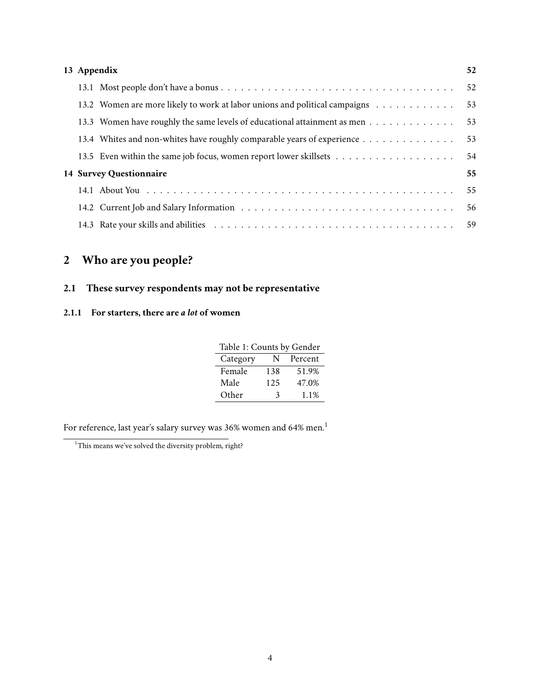|  | 13 Appendix                                                                | 52 |
|--|----------------------------------------------------------------------------|----|
|  |                                                                            | 52 |
|  | 13.2 Women are more likely to work at labor unions and political campaigns | 53 |
|  | 13.3 Women have roughly the same levels of educational attainment as men   | 53 |
|  | 13.4 Whites and non-whites have roughly comparable years of experience     | 53 |
|  |                                                                            | 54 |
|  | 14 Survey Questionnaire                                                    | 55 |
|  |                                                                            | 55 |
|  |                                                                            | 56 |
|  |                                                                            | 59 |

# <span id="page-3-0"></span>**2 Who are you people?**

## <span id="page-3-1"></span>**2.1 These survey respondents may not be representative**

## <span id="page-3-2"></span>**2.1.1 For starters, there are** *a lot* **of women**

<span id="page-3-4"></span>

| Table 1: Counts by Gender |     |         |  |  |  |
|---------------------------|-----|---------|--|--|--|
| Category                  | N   | Percent |  |  |  |
| Female                    | 138 | 51.9%   |  |  |  |
| Male                      | 125 | 47.0%   |  |  |  |
| Other                     | 3   | 1.1%    |  |  |  |

For reference, last year's salary survey was 36% women and 64% men.<sup>[1](#page-3-3)</sup>

<span id="page-3-3"></span><sup>&</sup>lt;sup>1</sup>This means we've solved the diversity problem, right?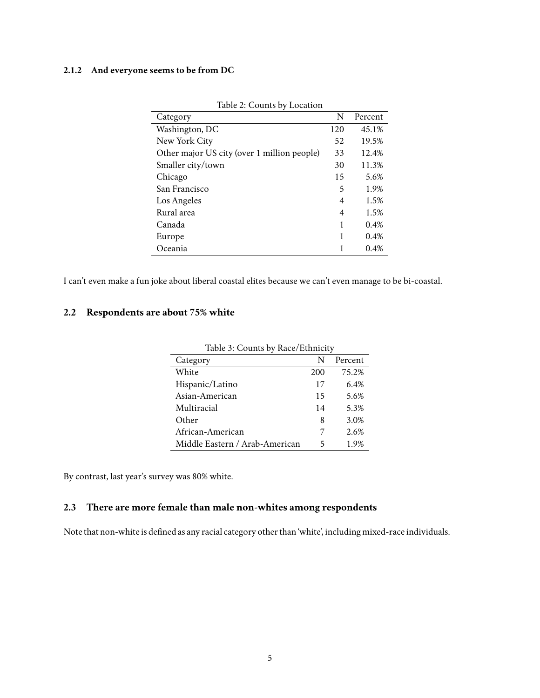#### <span id="page-4-0"></span>**2.1.2 And everyone seems to be from DC**

| Category                                    | N   | Percent |
|---------------------------------------------|-----|---------|
| Washington, DC                              | 120 | 45.1%   |
| New York City                               | 52  | 19.5%   |
| Other major US city (over 1 million people) | 33  | 12.4%   |
| Smaller city/town                           | 30  | 11.3%   |
| Chicago                                     | 15  | 5.6%    |
| San Francisco                               | 5   | 1.9%    |
| Los Angeles                                 | 4   | 1.5%    |
| Rural area                                  | 4   | 1.5%    |
| Canada                                      | 1   | 0.4%    |
| Europe                                      |     | 0.4%    |
| Oceania                                     |     | 0.4%    |

<span id="page-4-3"></span>

|  | Table 2: Counts by Location |  |
|--|-----------------------------|--|
|--|-----------------------------|--|

I can't even make a fun joke about liberal coastal elites because we can't even manage to be bi-coastal.

## <span id="page-4-1"></span>**2.2 Respondents are about 75% white**

| Table 5. Counts by Race/Ethnicity |     |         |  |  |
|-----------------------------------|-----|---------|--|--|
| Category                          | N   | Percent |  |  |
| White                             | 200 | 75.2%   |  |  |
| Hispanic/Latino                   | 17  | 6.4%    |  |  |
| Asian-American                    | 15  | 5.6%    |  |  |
| Multiracial                       | 14  | 5.3%    |  |  |
| Other                             | 8   | 3.0%    |  |  |
| African-American                  |     | 2.6%    |  |  |
| Middle Eastern / Arab-American    | 5   | 1.9%    |  |  |

<span id="page-4-4"></span>Table 3: Counts by Race/Ethnicity

By contrast, last year's survey was 80% white.

## <span id="page-4-2"></span>**2.3 There are more female than male non-whites among respondents**

Note that non-white is defined as any racial category other than 'white', including mixed-race individuals.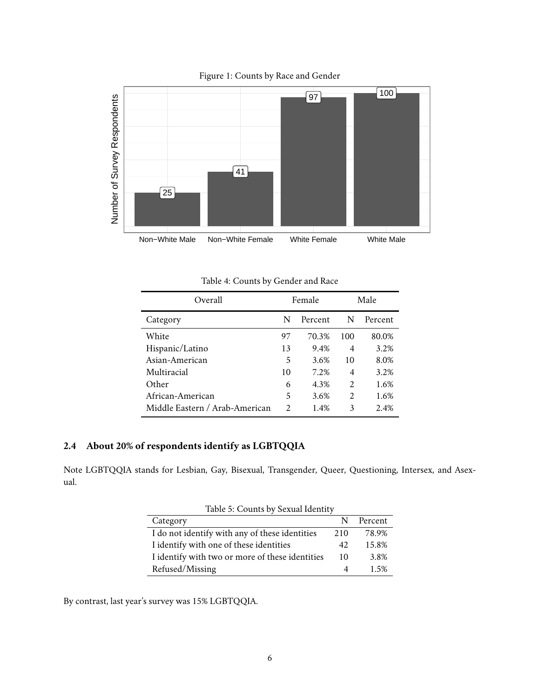<span id="page-5-3"></span>Figure 1: Counts by Race and Gender



<span id="page-5-1"></span>Table 4: Counts by Gender and Race

| Overall                        |    | Female  |                | Male    |
|--------------------------------|----|---------|----------------|---------|
| Category                       |    | Percent | N              | Percent |
| White                          | 97 | 70.3%   | 100            | 80.0%   |
| Hispanic/Latino                |    | 9.4%    | 4              | 3.2%    |
| Asian-American                 | 5  | 3.6%    | 10             | 8.0%    |
| Multiracial                    | 10 | 7.2%    | 4              | 3.2%    |
| Other                          | 6  | 4.3%    | $\mathfrak{D}$ | 1.6%    |
| African-American               | 5  | 3.6%    | $\mathfrak{D}$ | 1.6%    |
| Middle Eastern / Arab-American |    | 1.4%    | 3              | 2.4%    |

## <span id="page-5-0"></span>**2.4 About 20% of respondents identify as LGBTQQIA**

Note LGBTQQIA stands for Lesbian, Gay, Bisexual, Transgender, Queer, Questioning, Intersex, and Asexual.

<span id="page-5-2"></span>

| Table 5: Counts by Sexual Identity              |     |         |  |  |
|-------------------------------------------------|-----|---------|--|--|
| Category                                        | N   | Percent |  |  |
| I do not identify with any of these identities  | 210 | 78.9%   |  |  |
| I identify with one of these identities         | 42  | 15.8%   |  |  |
| I identify with two or more of these identities | 10  | 3.8%    |  |  |
| Refused/Missing                                 |     | 1.5%    |  |  |

By contrast, last year's survey was 15% LGBTQQIA.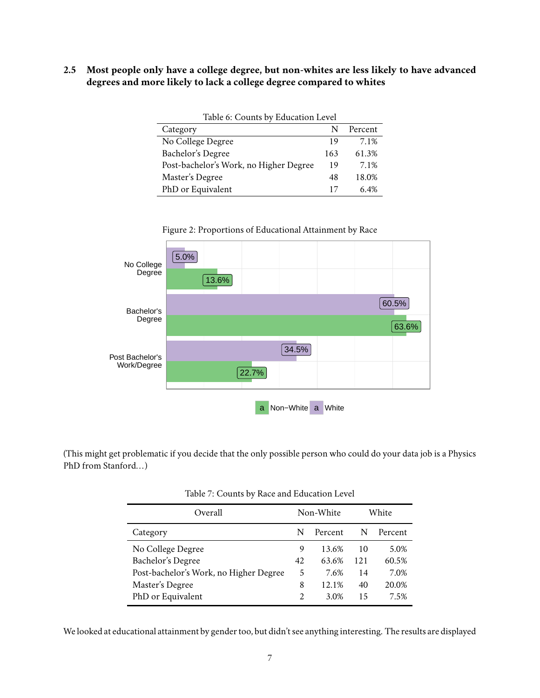<span id="page-6-0"></span>**2.5 Most people only have a college degree, but non-whites are less likely to have advanced degrees and more likely to lack a college degree compared to whites**

<span id="page-6-1"></span>

| Table 6: Counts by Education Level     |     |         |  |  |
|----------------------------------------|-----|---------|--|--|
| Category                               | N   | Percent |  |  |
| No College Degree                      | 19  | 7.1%    |  |  |
| Bachelor's Degree                      | 163 | 61.3%   |  |  |
| Post-bachelor's Work, no Higher Degree | 19  | 7.1%    |  |  |
| Master's Degree                        | 48  | 18.0%   |  |  |
| PhD or Equivalent                      | 17  | 6.4%    |  |  |



<span id="page-6-3"></span>Figure 2: Proportions of Educational Attainment by Race

(This might get problematic if you decide that the only possible person who could do your data job is a Physics PhD from Stanford...)

| Overall                                |    | Non-White |     | White   |
|----------------------------------------|----|-----------|-----|---------|
| Category                               | N  | Percent   | N   | Percent |
| No College Degree                      | 9  | 13.6%     | 10  | 5.0%    |
| Bachelor's Degree                      | 42 | 63.6%     | 121 | 60.5%   |
| Post-bachelor's Work, no Higher Degree | 5  | 7.6%      | 14  | 7.0%    |
| Master's Degree                        | 8  | 12.1%     | 40  | 20.0%   |
| PhD or Equivalent                      | 2  | 3.0%      | 15  | 7.5%    |

<span id="page-6-2"></span>Table 7: Counts by Race and Education Level

We looked at educational attainment by gender too, but didn't see anything interesting. The results are displayed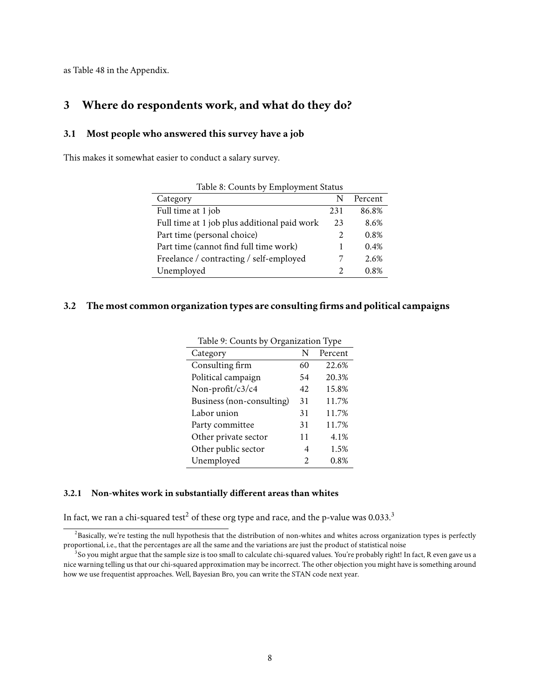as Table [48](#page-52-3) in the Appendix.

## <span id="page-7-0"></span>**3 Where do respondents work, and what do they do?**

#### <span id="page-7-1"></span>**3.1 Most people who answered this survey have a job**

This makes it somewhat easier to conduct a salary survey.

| Table 6. Counts by Employment Status         |                       |         |
|----------------------------------------------|-----------------------|---------|
| Category                                     | N                     | Percent |
| Full time at 1 job                           | 231                   | 86.8%   |
| Full time at 1 job plus additional paid work | 23                    | 8.6%    |
| Part time (personal choice)                  | $\mathcal{L}$         | 0.8%    |
| Part time (cannot find full time work)       |                       | 0.4%    |
| Freelance / contracting / self-employed      |                       | 2.6%    |
| Unemployed                                   | $\mathcal{D}_{\cdot}$ | 0.8%    |
|                                              |                       |         |

<span id="page-7-6"></span>Table 8: Counts by Employment Status

#### <span id="page-7-2"></span>**3.2 The most common organization types are consulting firms and political campaigns**

<span id="page-7-7"></span>

| Table 9: Counts by Organization Type |         |  |  |  |
|--------------------------------------|---------|--|--|--|
| N                                    | Percent |  |  |  |
| 60                                   | 22.6%   |  |  |  |
| 54                                   | 20.3%   |  |  |  |
| 42                                   | 15.8%   |  |  |  |
| 31                                   | 11.7%   |  |  |  |
| 31                                   | 11.7%   |  |  |  |
| 31                                   | 11.7%   |  |  |  |
| 11                                   | 4.1%    |  |  |  |
| 4                                    | 1.5%    |  |  |  |
| 2                                    | 0.8%    |  |  |  |
|                                      |         |  |  |  |

#### <span id="page-7-3"></span>**3.2.1 Non-whites work in substantially different areas than whites**

In fact, we ran a chi-squared test<sup>[2](#page-7-4)</sup> of these org type and race, and the p-value was  $0.033$  $0.033$  $0.033$ .<sup>3</sup>

<span id="page-7-4"></span> ${}^{2}$ Basically, we're testing the null hypothesis that the distribution of non-whites and whites across organization types is perfectly proportional, i.e., that the percentages are all the same and the variations are just the product of statistical noise

<span id="page-7-5"></span> $^3$ So you might argue that the sample size is too small to calculate chi-squared values. You're probably right! In fact, R even gave us a nice warning telling us that our chi-squared approximation may be incorrect. The other objection you might have is something around how we use frequentist approaches. Well, Bayesian Bro, you can write the STAN code next year.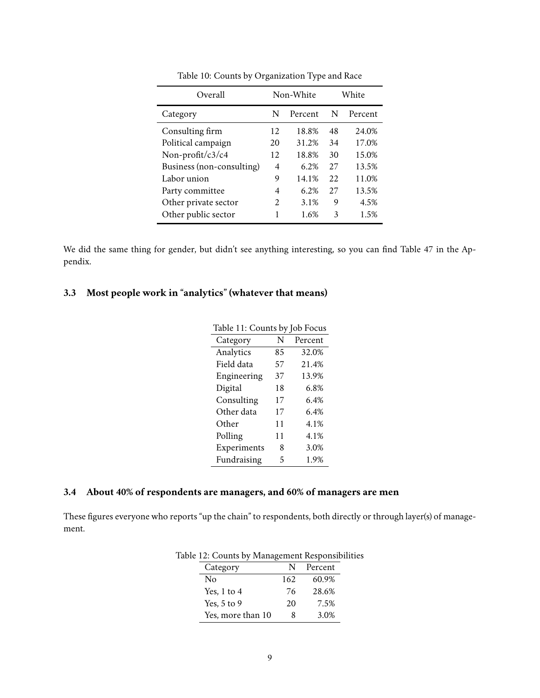| Overall                   | Non-White |         |    | White   |
|---------------------------|-----------|---------|----|---------|
| Category                  | N         | Percent | N  | Percent |
| Consulting firm           | 12        | 18.8%   | 48 | 24.0%   |
| Political campaign        | 20        | 31.2%   | 34 | 17.0%   |
| Non-profit/c3/c4          | 12        | 18.8%   | 30 | 15.0%   |
| Business (non-consulting) | 4         | 6.2%    | 27 | 13.5%   |
| Labor union               | 9         | 14.1%   | 22 | 11.0%   |
| Party committee           | 4         | 6.2%    | 27 | 13.5%   |
| Other private sector      | 2         | 3.1%    | 9  | 4.5%    |
| Other public sector       |           | 1.6%    | 3  | 1.5%    |

<span id="page-8-2"></span>Table 10: Counts by Organization Type and Race

We did the same thing for gender, but didn't see anything interesting, so you can find Table [47](#page-52-4) in the Appendix.

## <span id="page-8-0"></span>**3.3 Most people work in "analytics" (whatever that means)**

<span id="page-8-3"></span>

| Table 11: Counts by Job Focus |    |         |  |  |
|-------------------------------|----|---------|--|--|
| Category                      | N  | Percent |  |  |
| Analytics                     | 85 | 32.0%   |  |  |
| Field data                    | 57 | 21.4%   |  |  |
| Engineering                   | 37 | 13.9%   |  |  |
| Digital                       | 18 | 6.8%    |  |  |
| Consulting                    | 17 | 6.4%    |  |  |
| Other data                    | 17 | 6.4%    |  |  |
| Other                         | 11 | 4.1%    |  |  |
| Polling                       | 11 | 4.1%    |  |  |
| Experiments                   | 8  | 3.0%    |  |  |
| Fundraising                   | 5  | 1.9%    |  |  |

## <span id="page-8-1"></span>**3.4 About 40% of respondents are managers, and 60% of managers are men**

These figures everyone who reports "up the chain" to respondents, both directly or through layer(s) of management.

<span id="page-8-4"></span>

|    | Category          |     | Percent |
|----|-------------------|-----|---------|
| No |                   | 162 | 60.9%   |
|    | Yes, $1$ to $4$   | 76  | 28.6%   |
|    | Yes, $5$ to $9$   | 20  | 7.5%    |
|    | Yes, more than 10 | Ջ   | 3.0%    |

Table 12: Counts by Management Responsibilities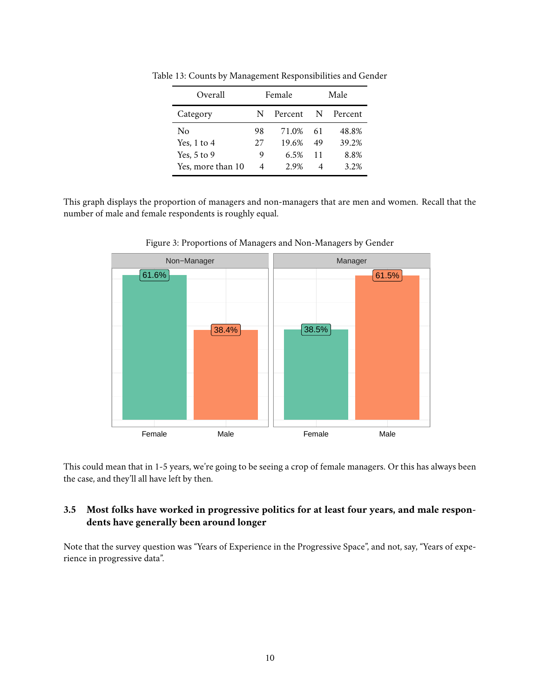<span id="page-9-1"></span>

| Overall           | Female |         |    | Male    |
|-------------------|--------|---------|----|---------|
| Category          | N      | Percent | N. | Percent |
| Nο                | 98     | 71.0%   | 61 | 48.8%   |
| Yes, $1$ to $4$   | 27     | 19.6%   | 49 | 39.2%   |
| Yes, $5$ to $9$   | 9      | 6.5%    | 11 | 8.8%    |
| Yes, more than 10 | 4      | 2.9%    | 4  | 3.2%    |

Table 13: Counts by Management Responsibilities and Gender

This graph displays the proportion of managers and non-managers that are men and women. Recall that the number of male and female respondents is roughly equal.



<span id="page-9-2"></span>Figure 3: Proportions of Managers and Non-Managers by Gender

This could mean that in 1-5 years, we're going to be seeing a crop of female managers. Or this has always been the case, and they'll all have left by then.

### <span id="page-9-0"></span>**3.5 Most folks have worked in progressive politics for at least four years, and male respondents have generally been around longer**

Note that the survey question was "Years of Experience in the Progressive Space", and not, say, "Years of experience in progressive data".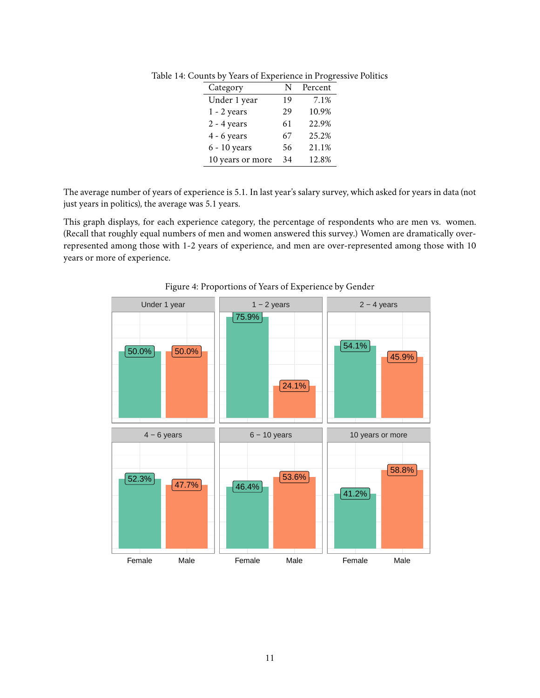<span id="page-10-0"></span>

| Category         | N  | Percent |
|------------------|----|---------|
| Under 1 year     | 19 | 7.1%    |
| $1 - 2$ years    | 29 | 10.9%   |
| $2 - 4$ years    | 61 | 22.9%   |
| $4 - 6$ years    | 67 | 25.2%   |
| $6 - 10$ years   | 56 | 21.1%   |
| 10 years or more | 34 | 12.8%   |

Table 14: Counts by Years of Experience in Progressive Politics

The average number of years of experience is 5.1. In last year's salary survey, which asked for years in data (not just years in politics), the average was 5.1 years.

This graph displays, for each experience category, the percentage of respondents who are men vs. women. (Recall that roughly equal numbers of men and women answered this survey.) Women are dramatically overrepresented among those with 1-2 years of experience, and men are over-represented among those with 10 years or more of experience.



<span id="page-10-1"></span>Figure 4: Proportions of Years of Experience by Gender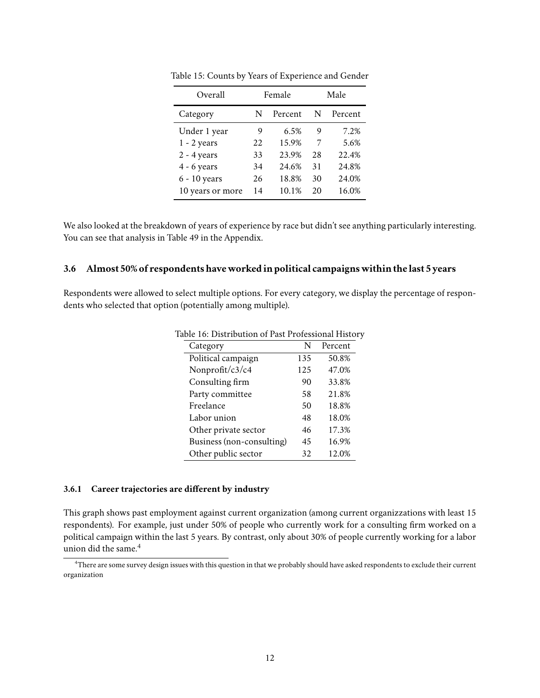| Overall          | Female |         |    | Male    |
|------------------|--------|---------|----|---------|
| Category         | N      | Percent | N  | Percent |
| Under 1 year     | 9      | 6.5%    | 9  | 7.2%    |
| $1 - 2$ years    | 22     | 15.9%   | 7  | 5.6%    |
| $2 - 4$ years    | 33     | 23.9%   | 28 | 22.4%   |
| $4 - 6$ years    | 34     | 24.6%   | 31 | 24.8%   |
| 6 - 10 years     | 26     | 18.8%   | 30 | 24.0%   |
| 10 years or more | 14     | 10.1%   | 20 | 16.0%   |

<span id="page-11-3"></span>Table 15: Counts by Years of Experience and Gender

We also looked at the breakdown of years of experience by race but didn't see anything particularly interesting. You can see that analysis in Table [49](#page-52-5) in the Appendix.

#### <span id="page-11-0"></span>**3.6 Almost 50% of respondents have worked in political campaigns within thelast 5 years**

Respondents were allowed to select multiple options. For every category, we display the percentage of respondents who selected that option (potentially among multiple).

<span id="page-11-4"></span>

| Category                  | N   | Percent |
|---------------------------|-----|---------|
| Political campaign        | 135 | 50.8%   |
| Nonprofit/c3/c4           | 125 | 47.0%   |
| Consulting firm           | 90  | 33.8%   |
| Party committee           | 58  | 21.8%   |
| Freelance                 | 50  | 18.8%   |
| Labor union               | 48  | 18.0%   |
| Other private sector      | 46  | 17.3%   |
| Business (non-consulting) | 45  | 16.9%   |
| Other public sector       | 32  | 12.0%   |

Table 16: Distribution of Past Professional History

#### <span id="page-11-1"></span>**3.6.1 Career trajectories are different by industry**

This graph shows past employment against current organization (among current organizzations with least 15 respondents). For example, just under 50% of people who currently work for a consulting firm worked on a political campaign within the last 5 years. By contrast, only about 30% of people currently working for a labor union did the same.<sup>[4](#page-11-2)</sup>

<span id="page-11-2"></span><sup>4</sup>There are some survey design issues with this question in that we probably should have asked respondents to exclude their current organization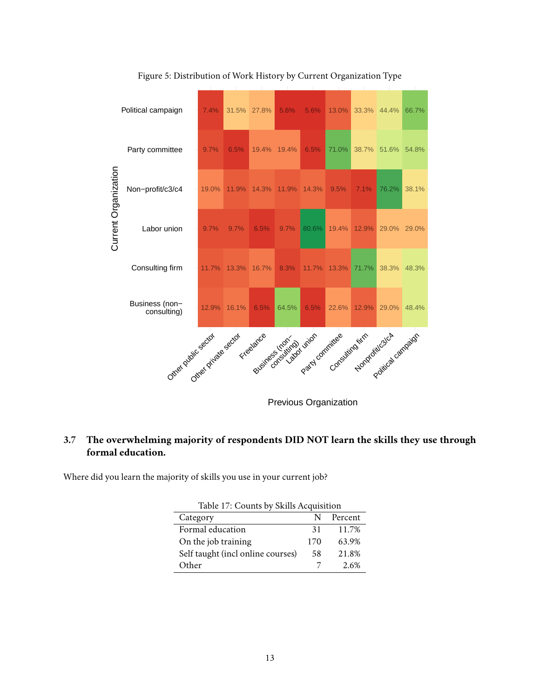

<span id="page-12-2"></span>Figure 5: Distribution of Work History by Current Organization Type

<span id="page-12-0"></span>**3.7 The overwhelming majority of respondents DID NOT learn the skills they use through formal education.**

Where did you learn the majority of skills you use in your current job?

<span id="page-12-1"></span>

| Table 17: Counts by Skills Acquisition |     |         |  |
|----------------------------------------|-----|---------|--|
| Category                               | N   | Percent |  |
| Formal education                       | 31  | 11.7%   |  |
| On the job training                    | 170 | 63.9%   |  |
| Self taught (incl online courses)      | 58  | 21.8%   |  |
| Other                                  |     | 2.6%    |  |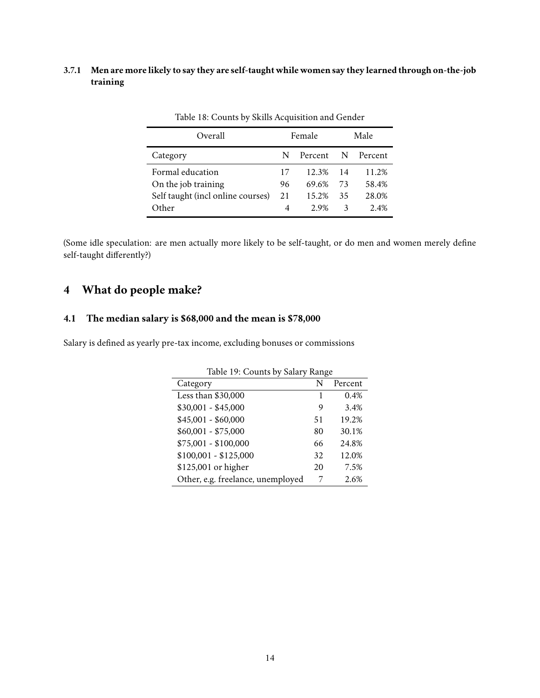### <span id="page-13-0"></span>**3.7.1 Men are more likely to say they are self-taught while women say they learned through on-the-job training**

| Overall                           |    | Female  |    | Male    |
|-----------------------------------|----|---------|----|---------|
| Category                          | N  | Percent | N  | Percent |
| Formal education                  | 17 | 12.3%   | 14 | 11.2%   |
| On the job training               | 96 | 69.6%   | 73 | 58.4%   |
| Self taught (incl online courses) | 21 | 15.2%   | 35 | 28.0%   |
| Other                             | 4  | 2.9%    | 3  | 2.4%    |

<span id="page-13-3"></span>Table 18: Counts by Skills Acquisition and Gender

(Some idle speculation: are men actually more likely to be self-taught, or do men and women merely define self-taught differently?)

## <span id="page-13-1"></span>**4 What do people make?**

## <span id="page-13-2"></span>**4.1 The median salary is \$68,000 and the mean is \$78,000**

Salary is defined as yearly pre-tax income, excluding bonuses or commissions

<span id="page-13-4"></span>

| Table 19: Counts by Salary Range  |    |         |  |  |
|-----------------------------------|----|---------|--|--|
| Category                          | N  | Percent |  |  |
| Less than $$30,000$               |    | 0.4%    |  |  |
| $$30,001 - $45,000$               | 9  | 3.4%    |  |  |
| $$45,001 - $60,000$               | 51 | 19.2%   |  |  |
| $$60,001 - $75,000$               | 80 | 30.1%   |  |  |
| $$75,001 - $100,000$              | 66 | 24.8%   |  |  |
| $$100,001 - $125,000$             | 32 | 12.0%   |  |  |
| \$125,001 or higher               | 20 | 7.5%    |  |  |
| Other, e.g. freelance, unemployed |    | 2.6%    |  |  |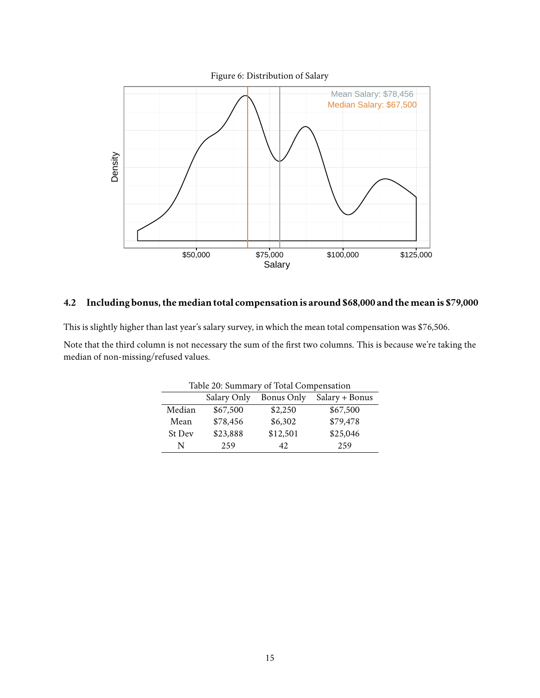<span id="page-14-2"></span>

## <span id="page-14-0"></span>**4.2 Including bonus, themedian total compensation is around \$68,000 and themean is \$79,000**

This is slightly higher than last year's salary survey, in which the mean total compensation was \$76,506.

Note that the third column is not necessary the sum of the first two columns. This is because we're taking the median of non-missing/refused values.

<span id="page-14-1"></span>

| Table 20: Summary of Total Compensation     |          |          |          |  |  |
|---------------------------------------------|----------|----------|----------|--|--|
| Salary Only<br>Salary + Bonus<br>Bonus Only |          |          |          |  |  |
| Median                                      | \$67,500 | \$2,250  | \$67,500 |  |  |
| Mean                                        | \$78,456 | \$6,302  | \$79,478 |  |  |
| St Dev                                      | \$23,888 | \$12,501 | \$25,046 |  |  |
| N                                           | 259      | 42.      | 259      |  |  |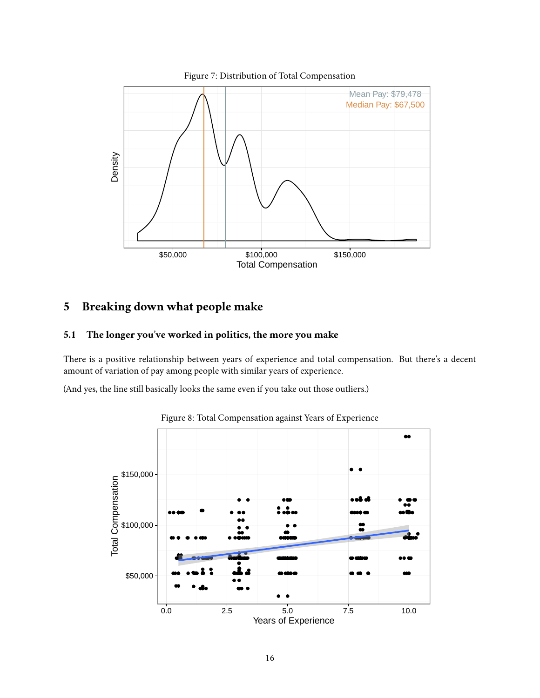<span id="page-15-2"></span>

## <span id="page-15-0"></span>**5 Breaking down what people make**

## <span id="page-15-1"></span>**5.1 The longer you've worked in politics, the more you make**

There is a positive relationship between years of experience and total compensation. But there's a decent amount of variation of pay among people with similar years of experience.

(And yes, the line still basically looks the same even if you take out those outliers.)



<span id="page-15-3"></span>Figure 8: Total Compensation against Years of Experience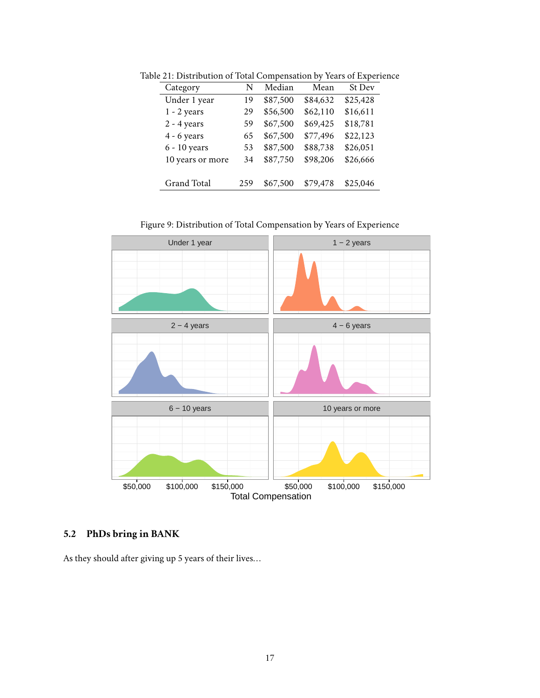<span id="page-16-1"></span>

| Category           | N   | Median   | Mean     | St Dev   |
|--------------------|-----|----------|----------|----------|
| Under 1 year       | 19  | \$87,500 | \$84,632 | \$25,428 |
| $1 - 2$ years      | 29  | \$56,500 | \$62,110 | \$16,611 |
| $2 - 4$ years      | 59  | \$67,500 | \$69,425 | \$18,781 |
| $4 - 6$ years      | 65  | \$67,500 | \$77,496 | \$22,123 |
| $6 - 10$ years     | 53  | \$87,500 | \$88,738 | \$26,051 |
| 10 years or more   | 34  | \$87,750 | \$98,206 | \$26,666 |
|                    |     |          |          |          |
| <b>Grand Total</b> | 259 | \$67,500 | \$79,478 | \$25,046 |

Table 21: Distribution of Total Compensation by Years of Experience

<span id="page-16-2"></span>Figure 9: Distribution of Total Compensation by Years of Experience



## <span id="page-16-0"></span>**5.2 PhDs bring in BANK**

As they should after giving up 5 years of their lives. . .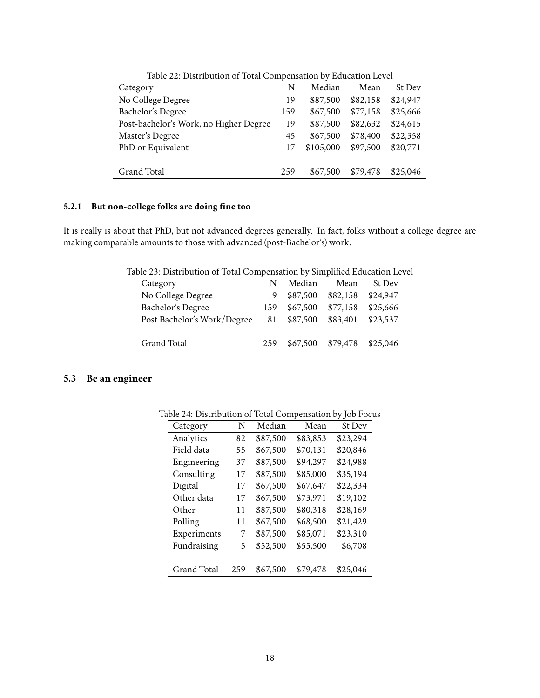| Table 22. Distribution of Total Compensation by Buddanon Bevel |     |           |          |          |  |  |  |
|----------------------------------------------------------------|-----|-----------|----------|----------|--|--|--|
| Category                                                       | N   | Median    | Mean     | St Dev   |  |  |  |
| No College Degree                                              | 19  | \$87,500  | \$82,158 | \$24,947 |  |  |  |
| Bachelor's Degree                                              | 159 | \$67,500  | \$77,158 | \$25,666 |  |  |  |
| Post-bachelor's Work, no Higher Degree                         | 19  | \$87,500  | \$82,632 | \$24,615 |  |  |  |
| Master's Degree                                                | 45  | \$67,500  | \$78,400 | \$22,358 |  |  |  |
| PhD or Equivalent                                              | 17  | \$105,000 | \$97,500 | \$20,771 |  |  |  |
|                                                                |     |           |          |          |  |  |  |
| Grand Total                                                    | 259 | \$67,500  | \$79,478 | \$25,046 |  |  |  |

<span id="page-17-2"></span>Table 22: Distribution of Total Compensation by Education Level

#### <span id="page-17-0"></span>**5.2.1 But non-college folks are doing fine too**

It is really is about that PhD, but not advanced degrees generally. In fact, folks without a college degree are making comparable amounts to those with advanced (post-Bachelor's) work.

Table 23: Distribution of Total Compensation by Simplified Education Level

<span id="page-17-3"></span>

| Category                    | N   | Median   | Mean     | St Dev   |
|-----------------------------|-----|----------|----------|----------|
| No College Degree           | 19  | \$87,500 | \$82.158 | \$24,947 |
| Bachelor's Degree           | 159 | \$67,500 | \$77,158 | \$25,666 |
| Post Bachelor's Work/Degree | 81  | \$87,500 | \$83,401 | \$23,537 |
|                             |     |          |          |          |
| Grand Total                 | 259 | \$67,500 | \$79,478 | \$25,046 |
|                             |     |          |          |          |

## <span id="page-17-1"></span>**5.3 Be an engineer**

<span id="page-17-4"></span>

| Category           | N   | Median   | Mean     | <b>St Dev</b> |
|--------------------|-----|----------|----------|---------------|
| Analytics          | 82  | \$87,500 | \$83,853 | \$23,294      |
| Field data         | 55  | \$67,500 | \$70,131 | \$20,846      |
| Engineering        | 37  | \$87,500 | \$94,297 | \$24,988      |
| Consulting         | 17  | \$87,500 | \$85,000 | \$35,194      |
| Digital            | 17  | \$67,500 | \$67,647 | \$22,334      |
| Other data         | 17  | \$67,500 | \$73,971 | \$19,102      |
| Other              | 11  | \$87,500 | \$80,318 | \$28,169      |
| Polling            | 11  | \$67,500 | \$68,500 | \$21,429      |
| Experiments        | 7   | \$87,500 | \$85,071 | \$23,310      |
| Fundraising        | 5   | \$52,500 | \$55,500 | \$6,708       |
|                    |     |          |          |               |
| <b>Grand Total</b> | 259 | \$67,500 | \$79,478 | \$25,046      |
|                    |     |          |          |               |

Table 24: Distribution of Total Compensation by Job Focus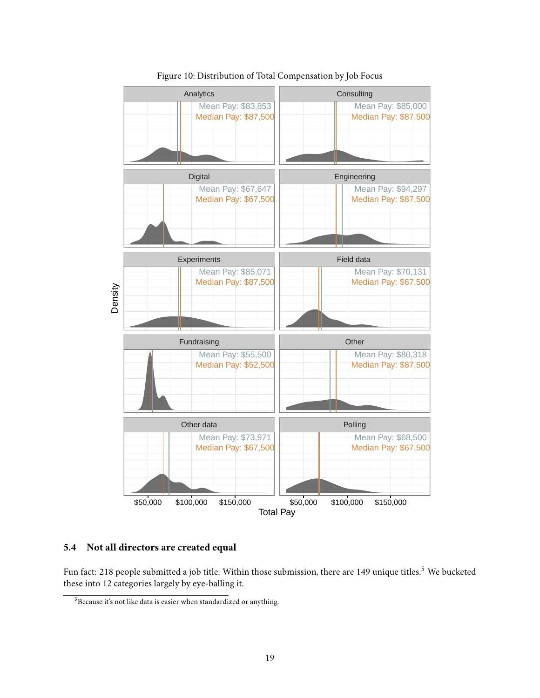

#### <span id="page-18-2"></span>Figure 10: Distribution of Total Compensation by Job Focus

#### <span id="page-18-0"></span>**5.4 Not all directors are created equal**

Fun fact: 218 people submitted a job title. Within those submission, there are 149 unique titles.<sup>[5](#page-18-1)</sup> We bucketed these into 12 categories largely by eye-balling it.

<span id="page-18-1"></span> $5B$ ecause it's not like data is easier when standardized or anything.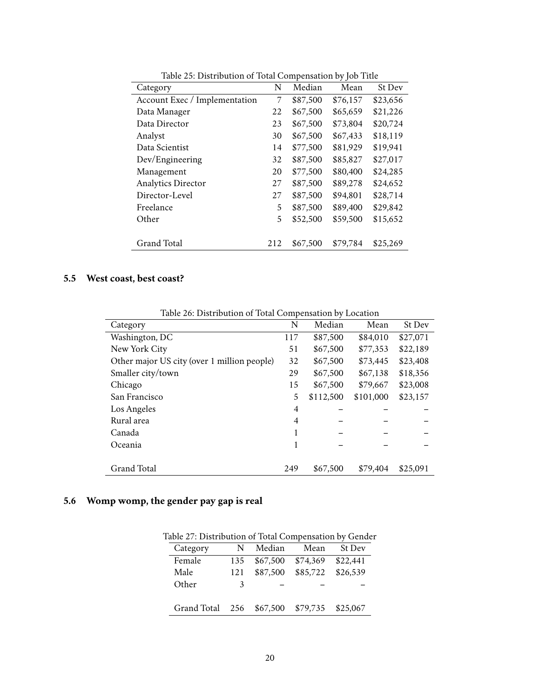| raoic 20. Bhothbation of Total Compensation of foot Three<br>Category | N   | Median   | Mean     | St Dev   |
|-----------------------------------------------------------------------|-----|----------|----------|----------|
| Account Exec / Implementation                                         | 7   | \$87,500 | \$76,157 | \$23,656 |
| Data Manager                                                          | 22  | \$67,500 | \$65,659 | \$21,226 |
| Data Director                                                         | 23  | \$67,500 | \$73,804 | \$20,724 |
| Analyst                                                               | 30  | \$67,500 | \$67,433 | \$18,119 |
| Data Scientist                                                        | 14  | \$77,500 | \$81,929 | \$19,941 |
| Dev/Engineering                                                       | 32  | \$87,500 | \$85,827 | \$27,017 |
| Management                                                            | 20  | \$77,500 | \$80,400 | \$24,285 |
| <b>Analytics Director</b>                                             | 27  | \$87,500 | \$89,278 | \$24,652 |
| Director-Level                                                        | 27  | \$87,500 | \$94,801 | \$28,714 |
| Freelance                                                             | 5   | \$87,500 | \$89,400 | \$29,842 |
| Other                                                                 | 5   | \$52,500 | \$59,500 | \$15,652 |
|                                                                       |     |          |          |          |
| <b>Grand Total</b>                                                    | 212 | \$67,500 | \$79.784 | \$25,269 |

<span id="page-19-2"></span>Table 25: Distribution of Total Compensation by Job Title

## <span id="page-19-0"></span>**5.5 West coast, best coast?**

| Table 20. Distribution of Total Compensation by Eocation |     |           |           |          |
|----------------------------------------------------------|-----|-----------|-----------|----------|
| Category                                                 | N   | Median    | Mean      | St Dev   |
| Washington, DC                                           | 117 | \$87,500  | \$84,010  | \$27,071 |
| New York City                                            | 51  | \$67,500  | \$77,353  | \$22,189 |
| Other major US city (over 1 million people)              | 32  | \$67,500  | \$73,445  | \$23,408 |
| Smaller city/town                                        | 29  | \$67,500  | \$67,138  | \$18,356 |
| Chicago                                                  | 15  | \$67,500  | \$79,667  | \$23,008 |
| San Francisco                                            | 5   | \$112,500 | \$101,000 | \$23,157 |
| Los Angeles                                              | 4   |           |           |          |
| Rural area                                               | 4   |           |           |          |
| Canada                                                   |     |           |           |          |
| Oceania                                                  | 1   |           |           |          |
| Grand Total                                              | 249 | \$67,500  | \$79.404  | \$25.091 |

<span id="page-19-3"></span>Table 26: Distribution of Total Compensation by Location

## <span id="page-19-1"></span>**5.6 Womp womp, the gender pay gap is real**

<span id="page-19-4"></span>

| able 27: Distribution of Total Compensation by Gende |     |          |          |          |  |  |  |  |
|------------------------------------------------------|-----|----------|----------|----------|--|--|--|--|
| Category                                             | N   | Median   | Mean     | St Dev   |  |  |  |  |
| Female                                               | 135 | \$67,500 | \$74,369 | \$22,441 |  |  |  |  |
| Male                                                 | 121 | \$87,500 | \$85,722 | \$26,539 |  |  |  |  |
| Other                                                | 3   |          |          |          |  |  |  |  |
| Grand Total 256                                      |     | \$67,500 | \$79,735 | \$25,067 |  |  |  |  |

Table 27: Distribution of Total Compensation by Gender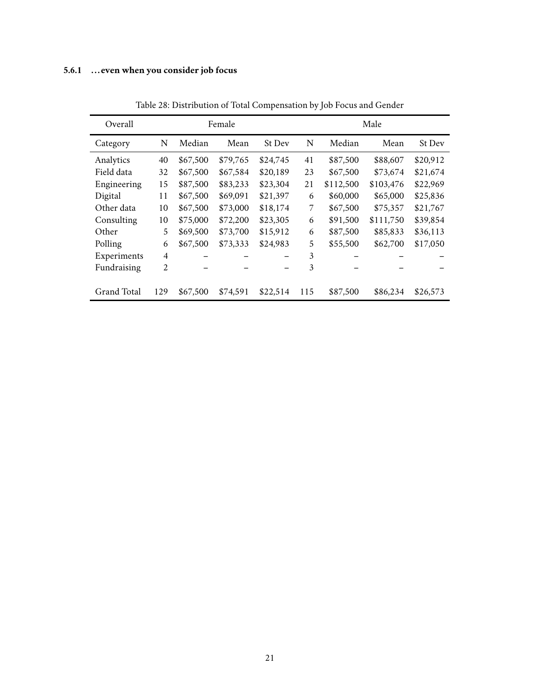## <span id="page-20-0"></span>**5.6.1 ...even when you consider job focus**

| Overall            |                | Female   |          |               |     | Male      |           |               |  |
|--------------------|----------------|----------|----------|---------------|-----|-----------|-----------|---------------|--|
| Category           | N              | Median   | Mean     | <b>St Dev</b> | N   | Median    | Mean      | <b>St Dev</b> |  |
| Analytics          | 40             | \$67,500 | \$79,765 | \$24,745      | 41  | \$87,500  | \$88,607  | \$20,912      |  |
| Field data         | 32             | \$67,500 | \$67,584 | \$20,189      | 23  | \$67,500  | \$73,674  | \$21,674      |  |
| Engineering        | 15             | \$87,500 | \$83,233 | \$23,304      | 21  | \$112,500 | \$103,476 | \$22,969      |  |
| Digital            | 11             | \$67,500 | \$69,091 | \$21,397      | 6   | \$60,000  | \$65,000  | \$25,836      |  |
| Other data         | 10             | \$67,500 | \$73,000 | \$18,174      | 7   | \$67,500  | \$75,357  | \$21,767      |  |
| Consulting         | 10             | \$75,000 | \$72,200 | \$23,305      | 6   | \$91,500  | \$111,750 | \$39,854      |  |
| Other              | 5              | \$69,500 | \$73,700 | \$15,912      | 6   | \$87,500  | \$85,833  | \$36,113      |  |
| Polling            | 6              | \$67,500 | \$73,333 | \$24,983      | 5   | \$55,500  | \$62,700  | \$17,050      |  |
| Experiments        | $\overline{4}$ |          |          |               | 3   |           |           |               |  |
| Fundraising        | $\overline{c}$ |          |          |               | 3   |           |           |               |  |
|                    |                |          |          |               |     |           |           |               |  |
| <b>Grand Total</b> | 129            | \$67,500 | \$74.591 | \$22,514      | 115 | \$87,500  | \$86,234  | \$26,573      |  |

<span id="page-20-1"></span>Table 28: Distribution of Total Compensation by Job Focus and Gender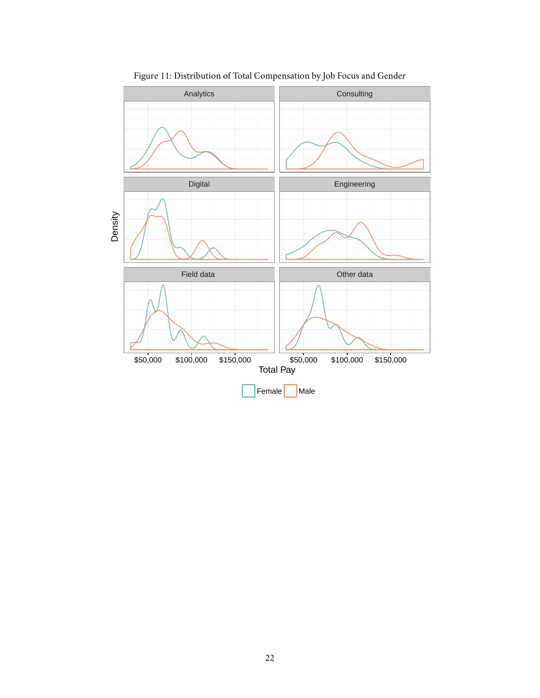

<span id="page-21-0"></span>Figure 11: Distribution of Total Compensation by Job Focus and Gender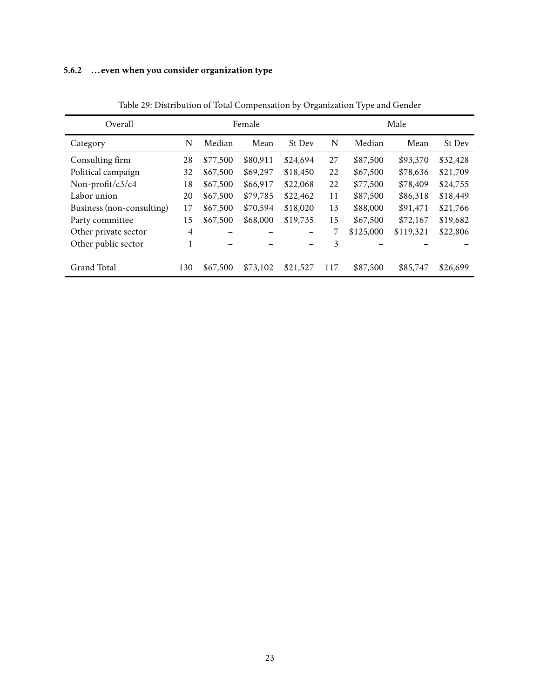## <span id="page-22-0"></span>**5.6.2 ...even when you consider organization type**

| Overall                   |     | Female   |          |               |     | Male      |           |               |
|---------------------------|-----|----------|----------|---------------|-----|-----------|-----------|---------------|
| Category                  | N   | Median   | Mean     | <b>St Dev</b> | N   | Median    | Mean      | <b>St Dev</b> |
| Consulting firm           | 28  | \$77,500 | \$80,911 | \$24.694      | 27  | \$87,500  | \$93,370  | \$32,428      |
| Political campaign        | 32  | \$67,500 | \$69,297 | \$18,450      | 22  | \$67,500  | \$78,636  | \$21,709      |
| Non-profit/c3/c4          | 18  | \$67,500 | \$66,917 | \$22,068      | 22  | \$77,500  | \$78,409  | \$24,755      |
| Labor union               | 20  | \$67,500 | \$79,785 | \$22,462      | 11  | \$87,500  | \$86,318  | \$18,449      |
| Business (non-consulting) | 17  | \$67,500 | \$70,594 | \$18,020      | 13  | \$88,000  | \$91,471  | \$21,766      |
| Party committee           | 15  | \$67,500 | \$68,000 | \$19,735      | 15  | \$67,500  | \$72,167  | \$19,682      |
| Other private sector      | 4   |          |          |               | 7   | \$125,000 | \$119,321 | \$22,806      |
| Other public sector       | 1   |          |          |               | 3   |           |           |               |
|                           |     |          |          |               |     |           |           |               |
| Grand Total               | 130 | \$67,500 | \$73,102 | \$21,527      | 117 | \$87,500  | \$85,747  | \$26,699      |

<span id="page-22-1"></span>Table 29: Distribution of Total Compensation by Organization Type and Gender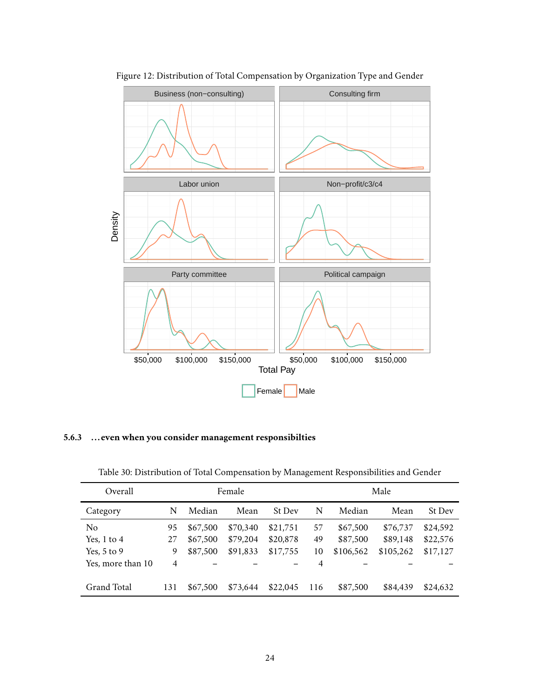

<span id="page-23-2"></span>Figure 12: Distribution of Total Compensation by Organization Type and Gender

<span id="page-23-0"></span>**5.6.3 ...even when you consider management responsibilties**

| Overall           |     | Female   |          |               |     | Male      |           |               |  |
|-------------------|-----|----------|----------|---------------|-----|-----------|-----------|---------------|--|
| Category          | N   | Median   | Mean     | <b>St Dev</b> | N   | Median    | Mean      | <b>St Dev</b> |  |
| No                | 95  | \$67,500 | \$70,340 | \$21,751      | 57  | \$67,500  | \$76,737  | \$24,592      |  |
| Yes, $1$ to $4$   | 27  | \$67,500 | \$79,204 | \$20,878      | 49  | \$87,500  | \$89,148  | \$22,576      |  |
| Yes, $5$ to $9$   | 9   | \$87,500 | \$91,833 | \$17,755      | 10  | \$106,562 | \$105,262 | \$17,127      |  |
| Yes, more than 10 | 4   |          |          |               | 4   |           |           |               |  |
| Grand Total       | 131 | \$67,500 | \$73,644 | \$22,045      | 116 | \$87,500  | \$84,439  | \$24,632      |  |

<span id="page-23-1"></span>Table 30: Distribution of Total Compensation by Management Responsibilities and Gender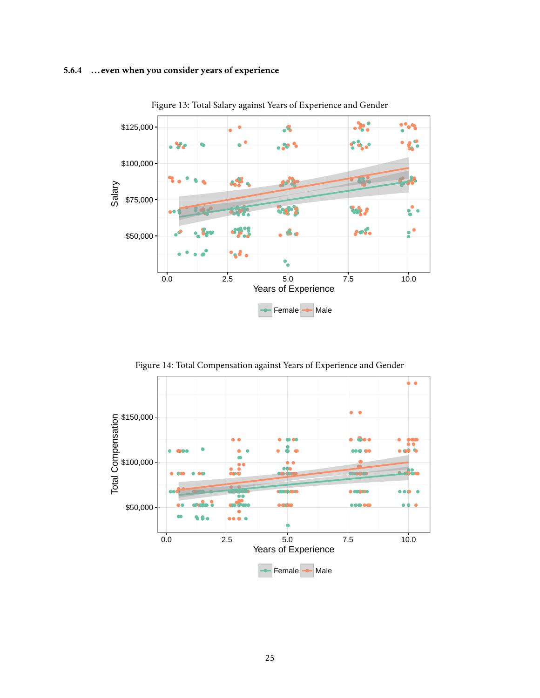#### <span id="page-24-0"></span>**5.6.4 ...even when you consider years of experience**



<span id="page-24-1"></span>Figure 13: Total Salary against Years of Experience and Gender

<span id="page-24-2"></span>Figure 14: Total Compensation against Years of Experience and Gender

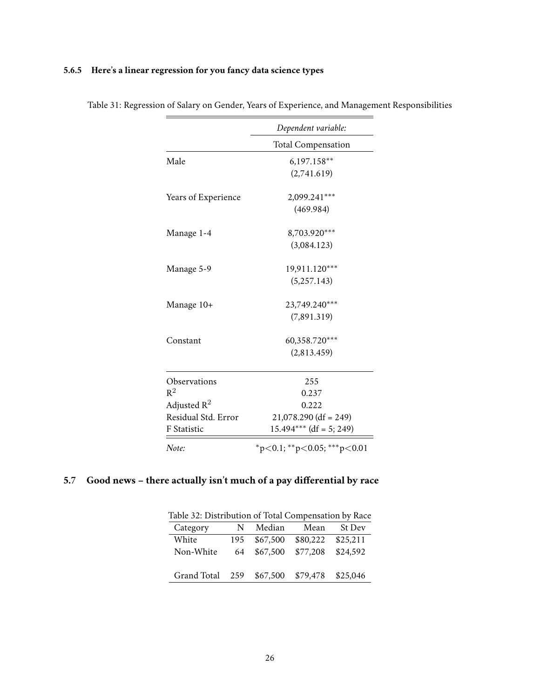## <span id="page-25-0"></span>**5.6.5 Here's a linear regression for you fancy data science types**

|                     | Dependent variable:                     |
|---------------------|-----------------------------------------|
|                     | <b>Total Compensation</b>               |
| Male                | $6,197.158**$                           |
|                     | (2,741.619)                             |
| Years of Experience | 2,099.241***                            |
|                     | (469.984)                               |
| Manage 1-4          | 8,703.920***                            |
|                     | (3,084.123)                             |
| Manage 5-9          | 19,911.120***                           |
|                     | (5, 257.143)                            |
| Manage 10+          | 23,749.240***                           |
|                     | (7,891.319)                             |
| Constant            | 60,358.720***                           |
|                     | (2,813.459)                             |
| Observations        | 255                                     |
| $\mathsf{R}^2$      | 0.237                                   |
| Adjusted R $^2$     | 0.222                                   |
| Residual Std. Error | $21,078.290$ (df = 249)                 |
| F Statistic         | $15.494***$ (df = 5; 249)               |
| Note:               | $*_{p<0.1;}$ $*_{p<0.05;}$ $*_{p<0.01}$ |

<span id="page-25-2"></span>Table 31: Regression of Salary on Gender, Years of Experience, and Management Responsibilities

## <span id="page-25-1"></span>**5.7 Good news – there actually isn't much of a pay differential by race**

<span id="page-25-3"></span>

| Table 32: Distribution of Total Compensation by Race |     |          |          |               |  |  |  |  |  |
|------------------------------------------------------|-----|----------|----------|---------------|--|--|--|--|--|
| Category                                             | N   | Median   | Mean     | <b>St Dev</b> |  |  |  |  |  |
| White                                                | 195 | \$67,500 | \$80,222 | \$25,211      |  |  |  |  |  |
| Non-White                                            | 64  | \$67,500 | \$77,208 | \$24,592      |  |  |  |  |  |
| Grand Total                                          | 259 | \$67,500 | \$79,478 | \$25,046      |  |  |  |  |  |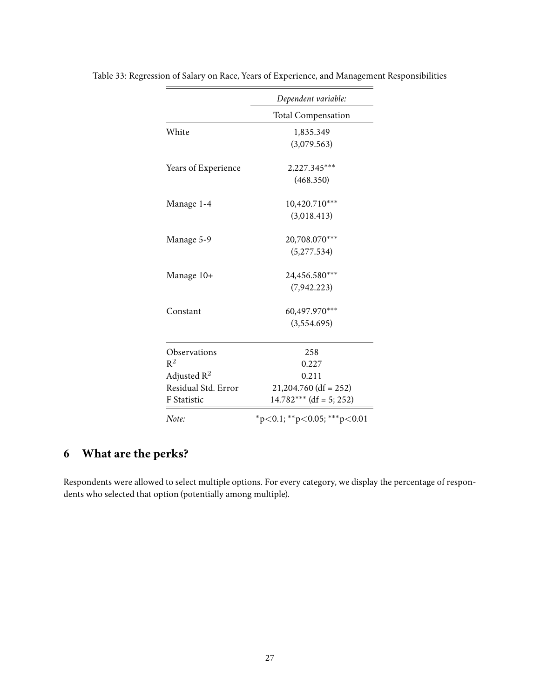|                     | Dependent variable:                     |
|---------------------|-----------------------------------------|
|                     | <b>Total Compensation</b>               |
| White               | 1,835.349                               |
|                     | (3,079.563)                             |
| Years of Experience | 2,227.345***                            |
|                     | (468.350)                               |
| Manage 1-4          | 10,420.710***                           |
|                     | (3,018.413)                             |
| Manage 5-9          | 20,708.070***                           |
|                     | (5, 277.534)                            |
| Manage 10+          | 24,456.580***                           |
|                     | (7,942.223)                             |
| Constant            | 60,497.970***                           |
|                     | (3,554.695)                             |
| Observations        | 258                                     |
| $R^2$               | 0.227                                   |
| Adjusted $R^2$      | 0.211                                   |
| Residual Std. Error | $21,204.760$ (df = 252)                 |
| F Statistic         | $14.782***$ (df = 5; 252)               |
| Note:               | $*_{p<0.1;}$ $*_{p<0.05;}$ $*_{p<0.01}$ |

<span id="page-26-1"></span>Table 33: Regression of Salary on Race, Years of Experience, and Management Responsibilities

# <span id="page-26-0"></span>**6 What are the perks?**

Respondents were allowed to select multiple options. For every category, we display the percentage of respondents who selected that option (potentially among multiple).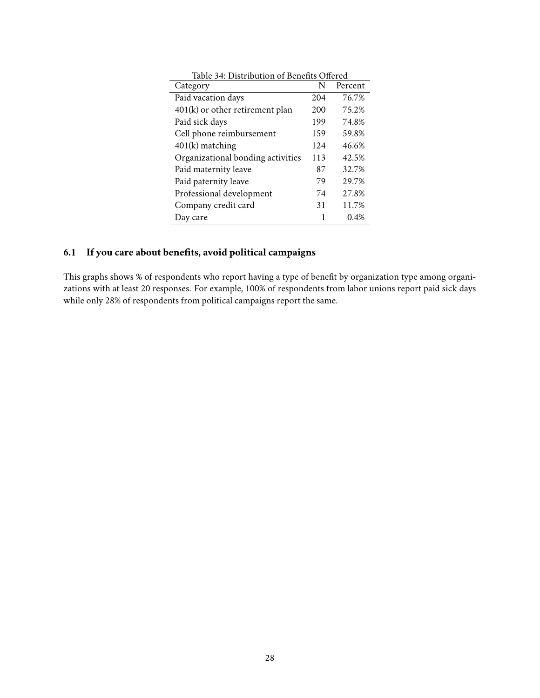<span id="page-27-1"></span>

| Table 34: Distribution of Benefits Offered |     |         |  |  |
|--------------------------------------------|-----|---------|--|--|
| Category                                   | N   | Percent |  |  |
| Paid vacation days                         | 204 | 76.7%   |  |  |
| $401(k)$ or other retirement plan          | 200 | 75.2%   |  |  |
| Paid sick days                             | 199 | 74.8%   |  |  |
| Cell phone reimbursement                   | 159 | 59.8%   |  |  |
| $401(k)$ matching                          | 124 | 46.6%   |  |  |
| Organizational bonding activities          | 113 | 42.5%   |  |  |
| Paid maternity leave                       | 87  | 32.7%   |  |  |
| Paid paternity leave                       | 79  | 29.7%   |  |  |
| Professional development                   | 74  | 27.8%   |  |  |
| Company credit card                        | 31  | 11.7%   |  |  |
| Day care                                   | 1   | 0.4%    |  |  |

## <span id="page-27-0"></span>**6.1 If you care about benefits, avoid political campaigns**

This graphs shows % of respondents who report having a type of benefit by organization type among organizations with at least 20 responses. For example, 100% of respondents from labor unions report paid sick days while only 28% of respondents from political campaigns report the same.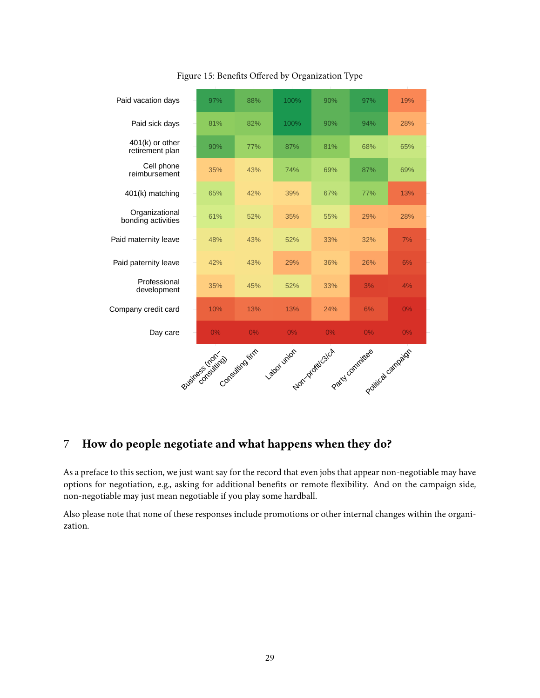

<span id="page-28-1"></span>Figure 15: Benefits Offered by Organization Type

## <span id="page-28-0"></span>**7 How do people negotiate and what happens when they do?**

As a preface to this section, we just want say for the record that even jobs that appear non-negotiable may have options for negotiation, e.g., asking for additional benefits or remote flexibility. And on the campaign side, non-negotiable may just mean negotiable if you play some hardball.

Also please note that none of these responses include promotions or other internal changes within the organization.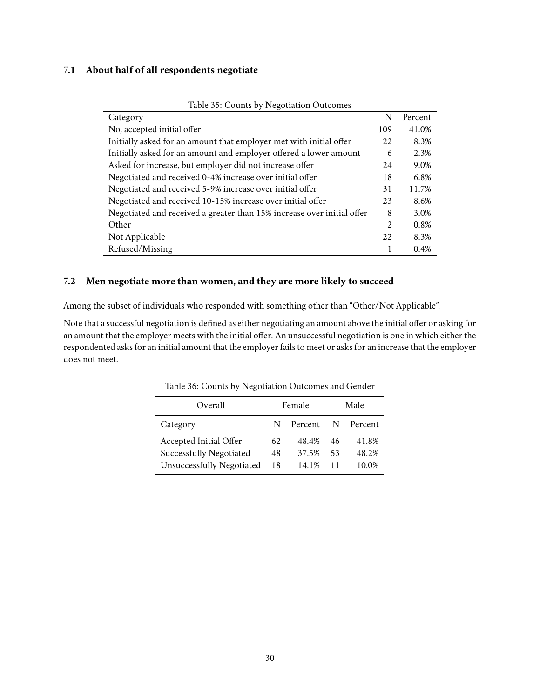#### <span id="page-29-0"></span>**7.1 About half of all respondents negotiate**

| $\epsilon$<br>Category                                                 | N   | Percent |
|------------------------------------------------------------------------|-----|---------|
| No, accepted initial offer                                             | 109 | 41.0%   |
| Initially asked for an amount that employer met with initial offer     | 22  | 8.3%    |
| Initially asked for an amount and employer offered a lower amount      | 6   | 2.3%    |
| Asked for increase, but employer did not increase offer                | 24  | 9.0%    |
| Negotiated and received 0-4% increase over initial offer               | 18  | 6.8%    |
| Negotiated and received 5-9% increase over initial offer               | 31  | 11.7%   |
| Negotiated and received 10-15% increase over initial offer             | 23  | 8.6%    |
| Negotiated and received a greater than 15% increase over initial offer | 8   | 3.0%    |
| Other                                                                  | 2   | 0.8%    |
| Not Applicable                                                         | 22  | 8.3%    |
| Refused/Missing                                                        |     | 0.4%    |

<span id="page-29-2"></span>Table 35: Counts by Negotiation Outcomes

#### <span id="page-29-1"></span>**7.2 Men negotiate more than women, and they are more likely to succeed**

Among the subset of individuals who responded with something other than "Other/Not Applicable".

Note that a successful negotiation is defined as either negotiating an amount above the initial offer or asking for an amount that the employer meets with the initial offer. An unsuccessful negotiation is one in which either the respondented asks for an initial amount that the employer fails to meet or asks for an increase that the employer does not meet.

| Overall                          | Female |         |    | Male      |
|----------------------------------|--------|---------|----|-----------|
| Category                         | N.     | Percent |    | N Percent |
| Accepted Initial Offer           | 62     | 48.4%   | 46 | 41.8%     |
| <b>Successfully Negotiated</b>   | 48     | 37.5%   | 53 | 48.2%     |
| <b>Unsuccessfully Negotiated</b> | 18     | 14.1%   |    | 10.0%     |

<span id="page-29-3"></span>Table 36: Counts by Negotiation Outcomes and Gender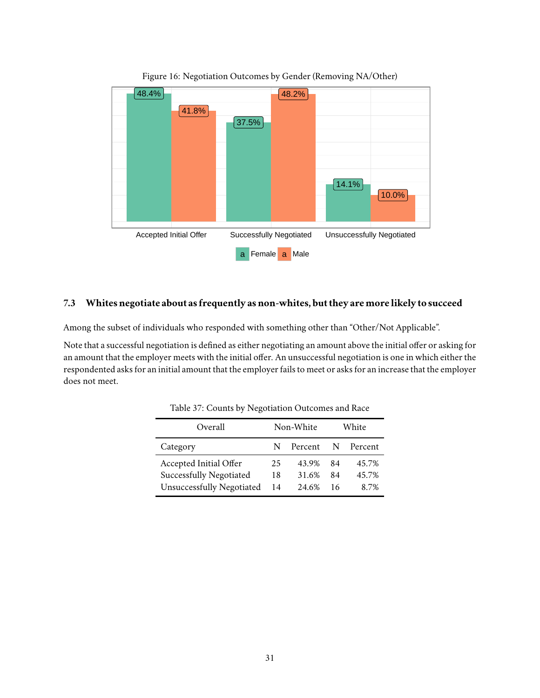

<span id="page-30-2"></span>Figure 16: Negotiation Outcomes by Gender (Removing NA/Other)

#### <span id="page-30-0"></span>**7.3 Whites negotiate about as frequently as non-whites, but they aremorelikely to succeed**

Among the subset of individuals who responded with something other than "Other/Not Applicable".

Note that a successful negotiation is defined as either negotiating an amount above the initial offer or asking for an amount that the employer meets with the initial offer. An unsuccessful negotiation is one in which either the respondented asks for an initial amount that the employer fails to meet or asks for an increase that the employer does not meet.

| Overall                          | Non-White |         |    | White     |
|----------------------------------|-----------|---------|----|-----------|
| Category                         | N         | Percent |    | N Percent |
| Accepted Initial Offer           | 25        | 43.9%   | 84 | 45.7%     |
| <b>Successfully Negotiated</b>   | 18        | 31.6%   | 84 | 45.7%     |
| <b>Unsuccessfully Negotiated</b> | 14        | 24.6%   | 16 | 8.7%      |

<span id="page-30-1"></span>Table 37: Counts by Negotiation Outcomes and Race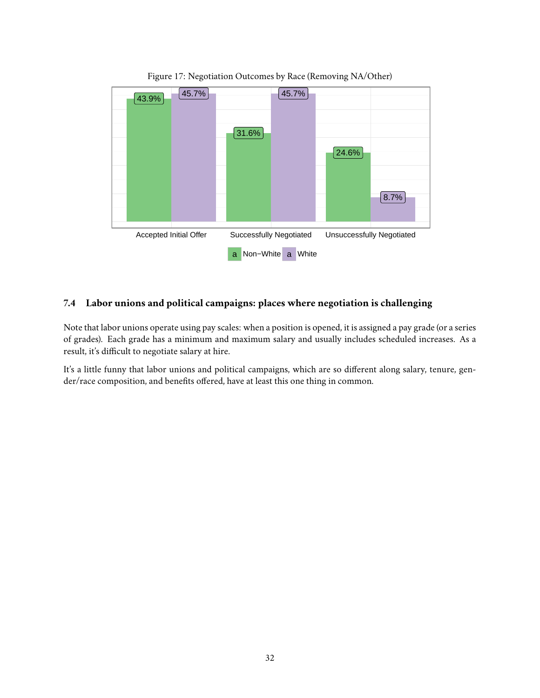

<span id="page-31-1"></span>Figure 17: Negotiation Outcomes by Race (Removing NA/Other)

### <span id="page-31-0"></span>**7.4 Labor unions and political campaigns: places where negotiation is challenging**

Note that labor unions operate using pay scales: when a position is opened, it is assigned a pay grade (or a series of grades). Each grade has a minimum and maximum salary and usually includes scheduled increases. As a result, it's difficult to negotiate salary at hire.

It's a little funny that labor unions and political campaigns, which are so different along salary, tenure, gender/race composition, and benefits offered, have at least this one thing in common.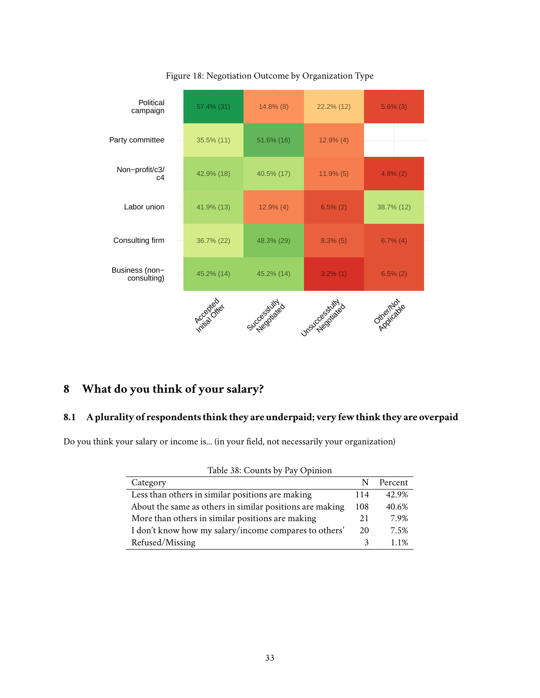

<span id="page-32-3"></span>Figure 18: Negotiation Outcome by Organization Type

## <span id="page-32-0"></span>**8 What do you think of your salary?**

#### <span id="page-32-1"></span>**8.1 A plurality of respondents think they are underpaid; very few think they are overpaid**

Do you think your salary or income is... (in your field, not necessarily your organization)

<span id="page-32-2"></span>

| Table 38: Counts by Pay Opinion                          |     |         |  |  |
|----------------------------------------------------------|-----|---------|--|--|
| Category                                                 | N   | Percent |  |  |
| Less than others in similar positions are making         | 114 | 42.9%   |  |  |
| About the same as others in similar positions are making | 108 | 40.6%   |  |  |
| More than others in similar positions are making         | 21  | 7.9%    |  |  |
| I don't know how my salary/income compares to others'    | 20  | 7.5%    |  |  |
| Refused/Missing                                          | ٦   | 11%     |  |  |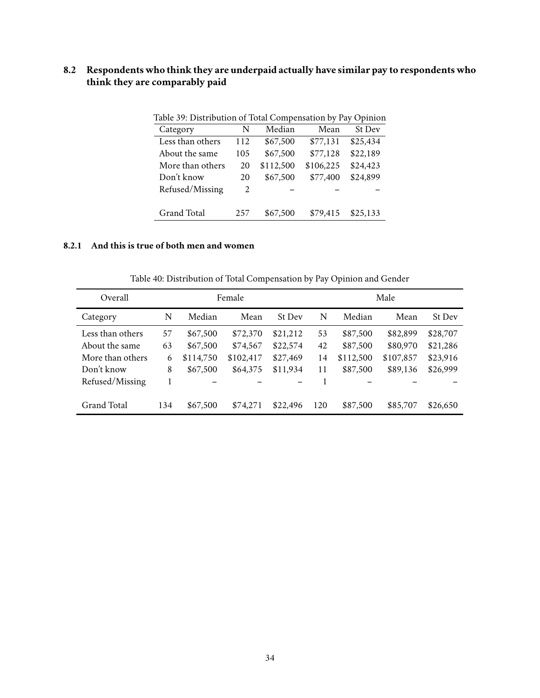## <span id="page-33-0"></span>**8.2 Respondents who think they are underpaid actually have similar pay to respondents who think they are comparably paid**

| Table 57. Distribution of Total Compensation by Fay Ophilon |     |           |           |               |  |  |  |
|-------------------------------------------------------------|-----|-----------|-----------|---------------|--|--|--|
| Category                                                    | N   | Median    | Mean      | <b>St Dev</b> |  |  |  |
| Less than others                                            | 112 | \$67,500  | \$77,131  | \$25,434      |  |  |  |
| About the same                                              | 105 | \$67,500  | \$77,128  | \$22,189      |  |  |  |
| More than others                                            | 20  | \$112,500 | \$106,225 | \$24,423      |  |  |  |
| Don't know                                                  | 20  | \$67,500  | \$77,400  | \$24,899      |  |  |  |
| Refused/Missing                                             | 2   |           |           |               |  |  |  |
|                                                             |     |           |           |               |  |  |  |
| <b>Grand Total</b>                                          | 257 | \$67,500  | \$79,415  | \$25,133      |  |  |  |
|                                                             |     |           |           |               |  |  |  |

<span id="page-33-2"></span>Table 39: Distribution of Total Compensation by Pay Opinion

#### <span id="page-33-1"></span>**8.2.1 And this is true of both men and women**

<span id="page-33-3"></span>Table 40: Distribution of Total Compensation by Pay Opinion and Gender

| Overall          |     | Female    |           |               |     | Male      |           |          |  |
|------------------|-----|-----------|-----------|---------------|-----|-----------|-----------|----------|--|
| Category         | N   | Median    | Mean      | <b>St Dev</b> | N   | Median    | Mean      | St Dev   |  |
| Less than others | 57  | \$67,500  | \$72,370  | \$21,212      | 53  | \$87,500  | \$82,899  | \$28,707 |  |
| About the same.  | 63  | \$67,500  | \$74,567  | \$22,574      | 42  | \$87,500  | \$80,970  | \$21,286 |  |
| More than others | 6   | \$114,750 | \$102,417 | \$27,469      | 14  | \$112,500 | \$107,857 | \$23,916 |  |
| Don't know       | 8   | \$67,500  | \$64,375  | \$11,934      | 11  | \$87,500  | \$89,136  | \$26,999 |  |
| Refused/Missing  |     |           |           |               |     |           |           |          |  |
| Grand Total      | 134 | \$67,500  | \$74.271  | \$22,496      | 120 | \$87,500  | \$85,707  | \$26,650 |  |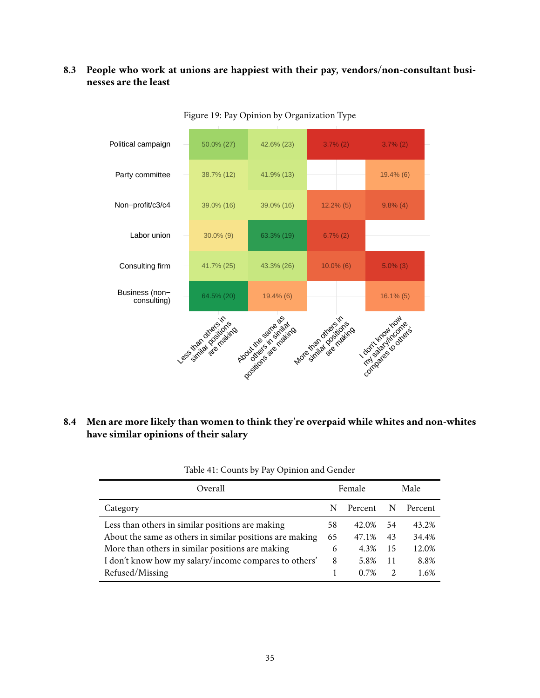### <span id="page-34-0"></span>**8.3 People who work at unions are happiest with their pay, vendors/non-consultant businesses are the least**



<span id="page-34-3"></span>Figure 19: Pay Opinion by Organization Type

## <span id="page-34-1"></span>**8.4 Men are more likely than women to think they're overpaid while whites and non-whites have similar opinions of their salary**

| Overall                                                  |    | Female  |               | Male    |
|----------------------------------------------------------|----|---------|---------------|---------|
| Category                                                 | N  | Percent | N             | Percent |
| Less than others in similar positions are making         | 58 | 42.0%   | 54            | 43.2%   |
| About the same as others in similar positions are making | 65 | 47.1%   | 43            | 34.4%   |
| More than others in similar positions are making         | 6  | 4.3%    | -15           | 12.0%   |
| I don't know how my salary/income compares to others'    | 8  | 5.8%    | 11            | 8.8%    |
| Refused/Missing                                          |    | 0.7%    | $\mathcal{L}$ | 1.6%    |

<span id="page-34-2"></span>Table 41: Counts by Pay Opinion and Gender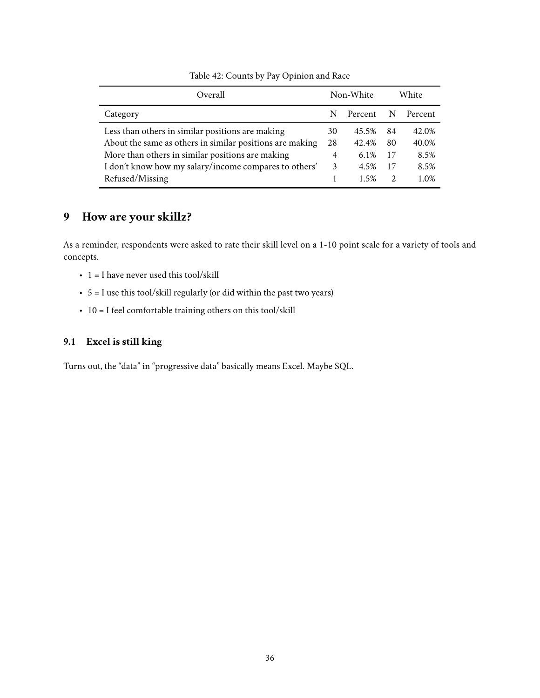| Overall                                                  |                | Non-White | White         |         |
|----------------------------------------------------------|----------------|-----------|---------------|---------|
| Category                                                 |                | Percent   |               | Percent |
| Less than others in similar positions are making         | 30             | 45.5%     | 84            | 42.0%   |
| About the same as others in similar positions are making | 28             | 42.4%     | 80            | 40.0%   |
| More than others in similar positions are making         | $\overline{4}$ | 6.1%      | 17            | 8.5%    |
| I don't know how my salary/income compares to others'    | 3              | 4.5%      | 17            | 8.5%    |
| Refused/Missing                                          |                | 1.5%      | $\mathcal{L}$ | 1.0%    |

<span id="page-35-2"></span>Table 42: Counts by Pay Opinion and Race

## <span id="page-35-0"></span>**9 How are your skillz?**

As a reminder, respondents were asked to rate their skill level on a 1-10 point scale for a variety of tools and concepts.

- $\cdot$  1 = I have never used this tool/skill
- 5 = I use this tool/skill regularly (or did within the past two years)
- $\cdot$  10 = I feel comfortable training others on this tool/skill

## <span id="page-35-1"></span>**9.1 Excel is still king**

Turns out, the "data" in "progressive data" basically means Excel. Maybe SQL.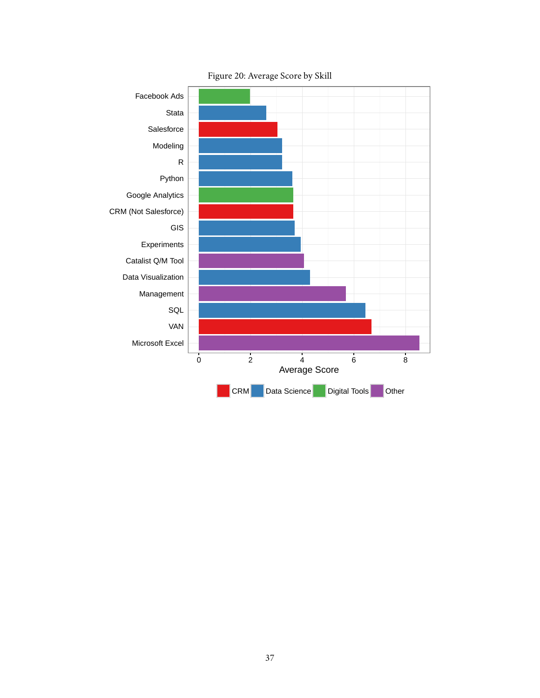

<span id="page-36-0"></span>Figure 20: Average Score by Skill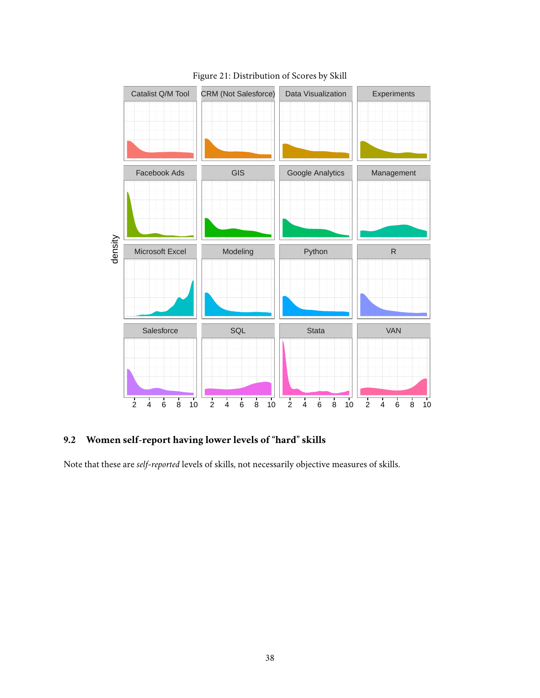

## <span id="page-37-1"></span>Figure 21: Distribution of Scores by Skill

## <span id="page-37-0"></span>**9.2 Women self-report having lower levels of "hard" skills**

Note that these are *self-reported* levels of skills, not necessarily objective measures of skills.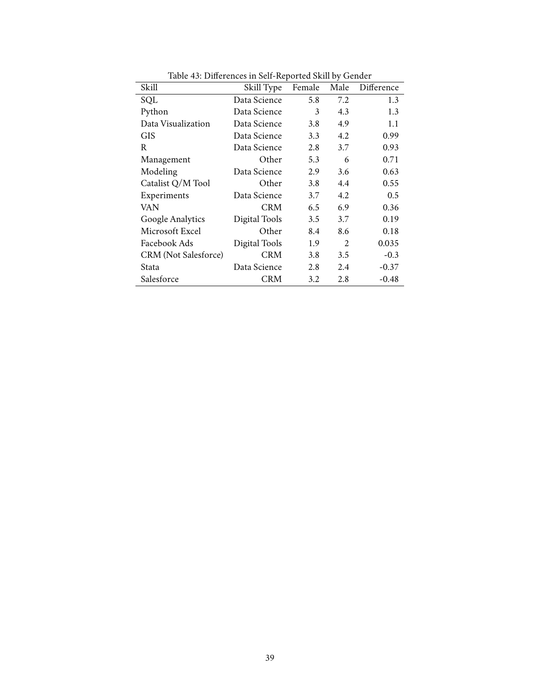| Skill                       | Skill Type    | Female | Male | Difference |
|-----------------------------|---------------|--------|------|------------|
| SQL                         | Data Science  | 5.8    | 7.2  | 1.3        |
| Python                      | Data Science  | 3      | 4.3  | 1.3        |
| Data Visualization          | Data Science  | 3.8    | 4.9  | 1.1        |
| <b>GIS</b>                  | Data Science  | 3.3    | 4.2  | 0.99       |
| R                           | Data Science  | 2.8    | 3.7  | 0.93       |
| Management                  | Other         | 5.3    | 6    | 0.71       |
| Modeling                    | Data Science  | 2.9    | 3.6  | 0.63       |
| Catalist Q/M Tool           | Other         | 3.8    | 4.4  | 0.55       |
| Experiments                 | Data Science  | 3.7    | 4.2  | 0.5        |
| VAN                         | <b>CRM</b>    | 6.5    | 6.9  | 0.36       |
| Google Analytics            | Digital Tools | 3.5    | 3.7  | 0.19       |
| Microsoft Excel             | Other         | 8.4    | 8.6  | 0.18       |
| Facebook Ads                | Digital Tools | 1.9    | 2    | 0.035      |
| <b>CRM</b> (Not Salesforce) | <b>CRM</b>    | 3.8    | 3.5  | $-0.3$     |
| Stata                       | Data Science  | 2.8    | 2.4  | $-0.37$    |
| Salesforce                  | <b>CRM</b>    | 3.2    | 2.8  | -0.48      |

<span id="page-38-0"></span>Table 43: Differences in Self-Reported Skill by Gender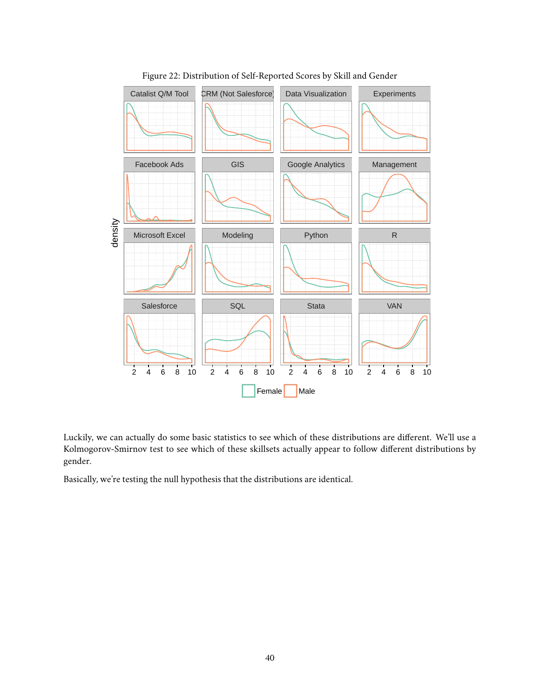

<span id="page-39-0"></span>Figure 22: Distribution of Self-Reported Scores by Skill and Gender

Luckily, we can actually do some basic statistics to see which of these distributions are different. We'll use a [Kolmogorov-Smirnov](https://en.wikipedia.org/wiki/Kolmogorov%E2%80%93Smirnov_test) test to see which of these skillsets actually appear to follow different distributions by gender.

Basically, we're testing the null hypothesis that the distributions are identical.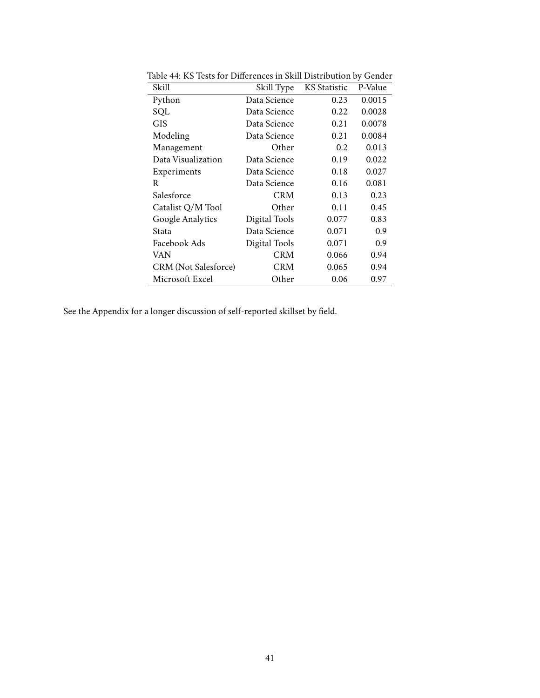| Skill                       | Skill Type    | <b>KS</b> Statistic | P-Value |
|-----------------------------|---------------|---------------------|---------|
| Python                      | Data Science  | 0.23                | 0.0015  |
| SQL                         | Data Science  | 0.22                | 0.0028  |
| GIS                         | Data Science  | 0.21                | 0.0078  |
| Modeling                    | Data Science  | 0.21                | 0.0084  |
| Management                  | Other         | 0.2                 | 0.013   |
| Data Visualization          | Data Science  | 0.19                | 0.022   |
| Experiments                 | Data Science  | 0.18                | 0.027   |
| R                           | Data Science  | 0.16                | 0.081   |
| Salesforce                  | <b>CRM</b>    | 0.13                | 0.23    |
| Catalist Q/M Tool           | Other         | 0.11                | 0.45    |
| Google Analytics            | Digital Tools | 0.077               | 0.83    |
| Stata                       | Data Science  | 0.071               | 0.9     |
| Facebook Ads                | Digital Tools | 0.071               | 0.9     |
| VAN                         | <b>CRM</b>    | 0.066               | 0.94    |
| <b>CRM</b> (Not Salesforce) | <b>CRM</b>    | 0.065               | 0.94    |
| Microsoft Excel             | Other         | 0.06                | 0.97    |

<span id="page-40-0"></span>Table 44: KS Tests for Differences in Skill Distribution by Gender

See [the Appendix](#page-53-0) for a longer discussion of self-reported skillset by field.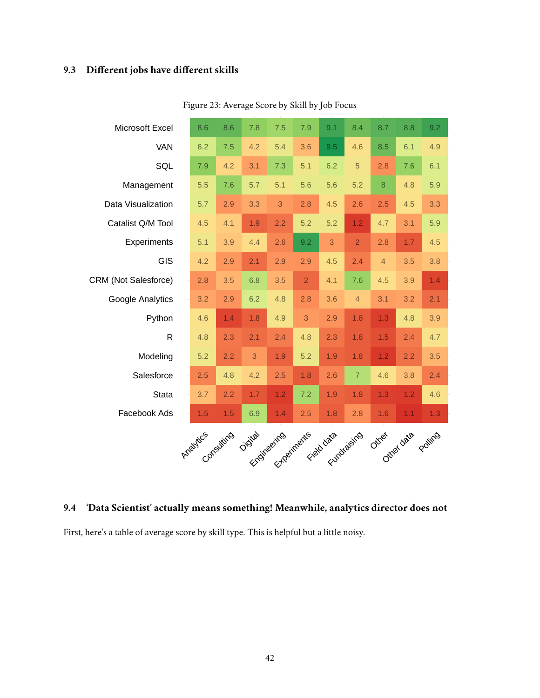# <span id="page-41-0"></span>**9.3 Different jobs have different skills**

| Microsoft Excel             | 8.6                 | 8.6 | 7.8                                   | 7.5 | 7.9            | 9.1 | 8.4            | 8.7            | 8.8 | 9.2     |
|-----------------------------|---------------------|-----|---------------------------------------|-----|----------------|-----|----------------|----------------|-----|---------|
| <b>VAN</b>                  | 6.2                 | 7.5 | 4.2                                   | 5.4 | 3.6            | 9.5 | 4.6            | 8.5            | 6.1 | 4.9     |
| SQL                         | 7.9                 | 4.2 | 3.1                                   | 7.3 | 5.1            | 6.2 | 5              | 2.8            | 7.6 | 6.1     |
| Management                  | 5.5                 | 7.6 | 5.7                                   | 5.1 | 5.6            | 5.6 | 5.2            | $\bf{8}$       | 4.8 | 5.9     |
| Data Visualization          | 5.7                 | 2.9 | 3.3                                   | 3   | 2.8            | 4.5 | 2.6            | 2.5            | 4.5 | 3.3     |
| Catalist Q/M Tool           | 4.5                 | 4.1 | 1.9                                   | 2.2 | 5.2            | 5.2 | 1.2            | 4.7            | 3.1 | 5.9     |
| Experiments                 | 5.1                 | 3.9 | 4.4                                   | 2.6 | 9.2            | 3   | $\overline{2}$ | 2.8            | 1.7 | 4.5     |
| <b>GIS</b>                  | 4.2                 | 2.9 | 2.1                                   | 2.9 | 2.9            | 4.5 | 2.4            | $\overline{4}$ | 3.5 | 3.8     |
| <b>CRM (Not Salesforce)</b> | 2.8                 | 3.5 | 6.8                                   | 3.5 | $\overline{2}$ | 4.1 | 7.6            | 4.5            | 3.9 | 1.4     |
| Google Analytics            | 3.2                 | 2.9 | 6.2                                   | 4.8 | 2.8            | 3.6 | $\overline{4}$ | 3.1            | 3.2 | 2.1     |
| Python                      | 4.6                 | 1.4 | 1.8                                   | 4.9 | 3              | 2.9 | 1.8            | 1.3            | 4.8 | 3.9     |
| $\mathsf{R}$                | 4.8                 | 2.3 | 2.1                                   | 2.4 | 4.8            | 2.3 | 1.8            | 1.5            | 2.4 | 4.7     |
| Modeling                    | 5.2                 | 2.2 | 3                                     | 1.9 | 5.2            | 1.9 | 1.8            | 1.2            | 2.2 | 3.5     |
| Salesforce                  | 2.5                 | 4.8 | 4.2                                   | 2.5 | 1.8            | 2.6 | $\overline{7}$ | 4.6            | 3.8 | 2.4     |
| <b>Stata</b>                | 3.7                 | 2.2 | 1.7                                   | 1.2 | 7.2            | 1.9 | 1.8            | 1.3            | 1.2 | 4.6     |
| Facebook Ads                | 1.5                 | 1.5 | 6.9                                   | 1.4 | 2.5            | 1.8 | 2.8            | 1.6            | 1.1 | 1.3     |
|                             | Araytics consulting |     | Digital Experiments Field data cities |     |                |     |                | Otrest data    |     | Poliing |

<span id="page-41-2"></span>Figure 23: Average Score by Skill by Job Focus

## <span id="page-41-1"></span>**9.4 'Data Scientist' actually means something! Meanwhile, analytics director does not**

First, here's a table of average score by skill type. This is helpful but a little noisy.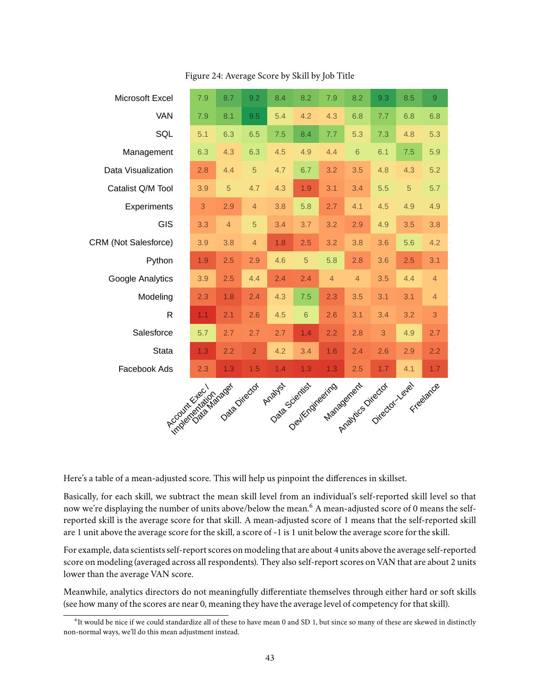| Microsoft Excel             | 7.9 | 8.7            | 9.2            | 8.4 | 8.2                                                   | 7.9            | 8.2            | 9.3 | 8.5 | 9              |
|-----------------------------|-----|----------------|----------------|-----|-------------------------------------------------------|----------------|----------------|-----|-----|----------------|
| <b>VAN</b>                  | 7.9 | 8.1            | 9.5            | 5.4 | 4.2                                                   | 4.3            | 6.8            | 7.7 | 6.8 | 6.8            |
| SQL                         | 5.1 | 6.3            | 6.5            | 7.5 | 8.4                                                   | 7.7            | 5.3            | 7.3 | 4.8 | 5.3            |
| Management                  | 6.3 | 4.3            | 6.3            | 4.5 | 4.9                                                   | 4.4            | $6\,$          | 6.1 | 7.5 | 5.9            |
| Data Visualization          | 2.8 | 4.4            | 5              | 4.7 | 6.7                                                   | 3.2            | 3.5            | 4.8 | 4.3 | 5.2            |
| Catalist Q/M Tool           | 3.9 | 5              | 4.7            | 4.3 | 1.9                                                   | 3.1            | 3.4            | 5.5 | 5   | 5.7            |
| Experiments                 | 3   | 2.9            | $\overline{4}$ | 3.8 | 5.8                                                   | 2.7            | 4.1            | 4.5 | 4.9 | 4.9            |
| <b>GIS</b>                  | 3.3 | $\overline{4}$ | 5              | 3.4 | 3.7                                                   | 3.2            | 2.9            | 4.9 | 3.5 | 3.8            |
| <b>CRM (Not Salesforce)</b> | 3.9 | 3.8            | $\overline{4}$ | 1.8 | 2.5                                                   | 3.2            | 3.8            | 3.6 | 5.6 | 4.2            |
| Python                      | 1.9 | 2.5            | 2.9            | 4.6 | 5                                                     | 5.8            | 2.8            | 3.6 | 2.5 | 3.1            |
| Google Analytics            | 3.9 | 2.5            | 4.4            | 2.4 | 2.4                                                   | $\overline{4}$ | $\overline{4}$ | 3.5 | 4.4 | $\overline{4}$ |
| Modeling                    | 2.3 | 1.8            | 2.4            | 4.3 | 7.5                                                   | 2.3            | 3.5            | 3.1 | 3.1 | $\overline{4}$ |
| R                           | 1.1 | 2.1            | 2.6            | 4.5 | 6                                                     | 2.6            | 3.1            | 3.4 | 3.2 | 3              |
| Salesforce                  | 5.7 | 2.7            | 2.7            | 2.7 | 1.4                                                   | 2.2            | 2.8            | 3   | 4.9 | 2.7            |
| <b>Stata</b>                | 1.3 | 2.2            | $\overline{2}$ | 4.2 | 3.4                                                   | 1.6            | 2.4            | 2.6 | 2.9 | 2.2            |
| Facebook Ads                | 2.3 | 1.3            | 1.5            | 1.4 | 1.3                                                   | 1.3            | 2.5            | 1.7 | 4.1 | 1.7            |
| Indoor Castle Brage         |     | Data Director  |                |     |                                                       |                |                |     |     |                |
|                             |     |                |                |     | Data Devikration Management Director Veyes Experience |                |                |     |     |                |
|                             |     |                |                |     |                                                       |                |                |     |     |                |
|                             |     |                |                |     |                                                       |                |                |     |     |                |

<span id="page-42-1"></span>Figure 24: Average Score by Skill by Job Title

Here's a table of a mean-adjusted score. This will help us pinpoint the differences in skillset.

Basically, for each skill, we subtract the mean skill level from an individual's self-reported skill level so that now we're displaying the number of units above/below the mean.<sup>[6](#page-42-0)</sup> A mean-adjusted score of 0 means the selfreported skill is the average score for that skill. A mean-adjusted score of 1 means that the self-reported skill are 1 unit above the average score for the skill, a score of -1 is 1 unit below the average score for the skill.

For example, data scientists self-report scores on modeling that are about 4 units above the average self-reported score on modeling (averaged across all respondents). They also self-report scores on VAN that are about 2 units lower than the average VAN score.

Meanwhile, analytics directors do not meaningfully differentiate themselves through either hard or soft skills (see how many of the scores are near 0, meaning they have the average level of competency for that skill).

<span id="page-42-0"></span><sup>&</sup>lt;sup>6</sup>It would be nice if we could standardize all of these to have mean 0 and SD 1, but since so many of these are skewed in distinctly non-normal ways, we'll do this mean adjustment instead.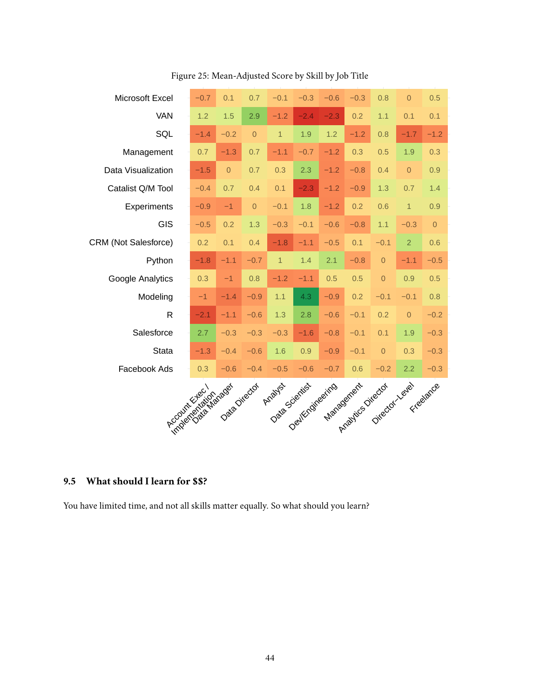| Microsoft Excel             | $-0.7$ | 0.1           | 0.7            | $-0.1$         | $-0.3$                             | $-0.6$ | $-0.3$                   | 0.8            | $\mathbf 0$    | 0.5            |
|-----------------------------|--------|---------------|----------------|----------------|------------------------------------|--------|--------------------------|----------------|----------------|----------------|
| VAN                         | 1.2    | 1.5           | 2.9            | $-1.2$         | $-2.4$                             | $-2.3$ | 0.2                      | 1.1            | 0.1            | 0.1            |
| SQL                         | $-1.4$ | $-0.2$        | $\overline{0}$ | $\overline{1}$ | 1.9                                | 1.2    | $-1.2$                   | 0.8            | $-1.7$         | $-1.2$         |
| Management                  | 0.7    | $-1.3$        | 0.7            | $-1.1$         | $-0.7$                             | $-1.2$ | 0.3                      | 0.5            | 1.9            | 0.3            |
| Data Visualization          | $-1.5$ | $\theta$      | 0.7            | 0.3            | 2.3                                | $-1.2$ | $-0.8$                   | 0.4            | $\overline{0}$ | 0.9            |
| Catalist Q/M Tool           | $-0.4$ | 0.7           | 0.4            | 0.1            | $-2.3$                             | $-1.2$ | $-0.9$                   | 1.3            | 0.7            | 1.4            |
| Experiments                 | $-0.9$ | $-1$          | $\overline{0}$ | $-0.1$         | 1.8                                | $-1.2$ | 0.2                      | 0.6            | $\mathbf{1}$   | 0.9            |
| <b>GIS</b>                  | $-0.5$ | 0.2           | 1.3            | $-0.3$         | $-0.1$                             | $-0.6$ | $-0.8$                   | 1.1            | $-0.3$         | $\overline{0}$ |
| <b>CRM (Not Salesforce)</b> | 0.2    | 0.1           | 0.4            | $-1.8$         | $-1.1$                             | $-0.5$ | 0.1                      | $-0.1$         | $\overline{2}$ | 0.6            |
| Python                      | $-1.8$ | $-1.1$        | $-0.7$         | $\overline{1}$ | 1.4                                | 2.1    | $-0.8$                   | $\overline{0}$ | $-1.1$         | $-0.5$         |
| Google Analytics            | 0.3    | $-1$          | 0.8            | $-1.2$         | $-1.1$                             | 0.5    | 0.5                      | $\overline{0}$ | 0.9            | 0.5            |
| Modeling                    | $-1$   | $-1.4$        | $-0.9$         | 1.1            | 4.3                                | $-0.9$ | 0.2                      | $-0.1$         | $-0.1$         | 0.8            |
| R                           | $-2.1$ | $-1.1$        | $-0.6$         | 1.3            | 2.8                                | $-0.6$ | $-0.1$                   | 0.2            | $\overline{0}$ | $-0.2$         |
| Salesforce                  | 2.7    | $-0.3$        | $-0.3$         | $-0.3$         | $-1.6$                             | $-0.8$ | $-0.1$                   | 0.1            | 1.9            | $-0.3$         |
| <b>Stata</b>                | $-1.3$ | $-0.4$        | $-0.6$         | 1.6            | 0.9                                | $-0.9$ | $-0.1$                   | $\mathbf 0$    | 0.3            | $-0.3$         |
| Facebook Ads                | 0.3    | $-0.6$        | $-0.4$         | $-0.5$         | $-0.6$                             |        |                          |                |                | $-0.3$         |
|                             |        |               |                | Arabyst        |                                    |        |                          |                |                |                |
| <b>Frogendale Clayses</b>   |        | Data Director |                |                | Data Scientist<br>Deviktorialering |        | Ananagement Criegod Lead |                |                | Freedance      |
|                             |        |               |                |                |                                    |        |                          |                |                |                |
|                             |        |               |                |                |                                    |        |                          |                |                |                |

<span id="page-43-1"></span>Figure 25: Mean-Adjusted Score by Skill by Job Title

## <span id="page-43-0"></span>**9.5 What should I learn for \$\$?**

You have limited time, and not all skills matter equally. So what should you learn?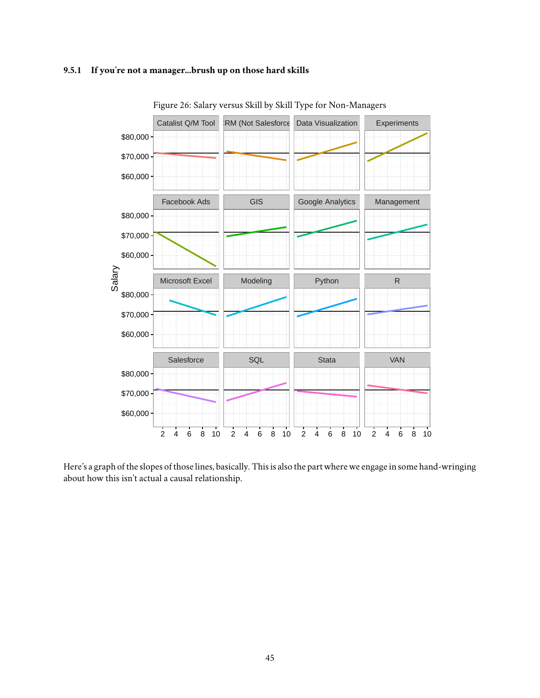#### <span id="page-44-0"></span>**9.5.1 If you're not a manager...brush up on those hard skills**



<span id="page-44-1"></span>Figure 26: Salary versus Skill by Skill Type for Non-Managers

Here's a graph of the slopes of those lines, basically. This is also the part where we engage in some hand-wringing about how this isn't actual a causal relationship.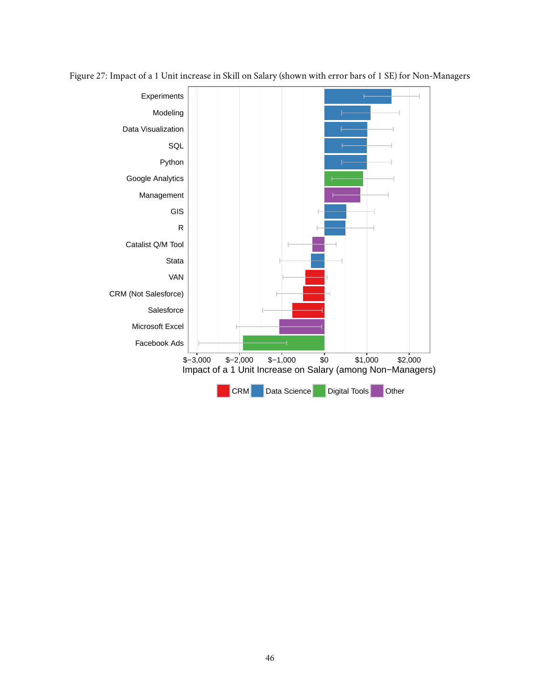<span id="page-45-0"></span>

Figure 27: Impact of a 1 Unit increase in Skill on Salary (shown with error bars of 1 SE) for Non-Managers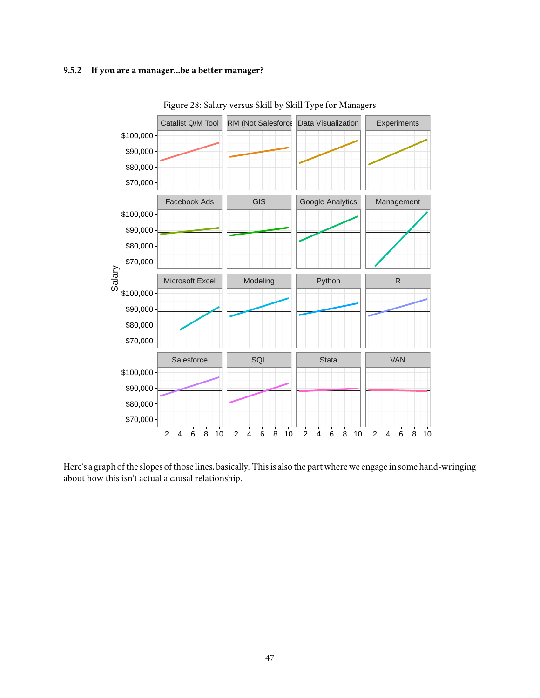#### <span id="page-46-0"></span>**9.5.2 If you are a manager...be a better manager?**



<span id="page-46-1"></span>Figure 28: Salary versus Skill by Skill Type for Managers

Here's a graph of the slopes of those lines, basically. This is also the part where we engage in some hand-wringing about how this isn't actual a causal relationship.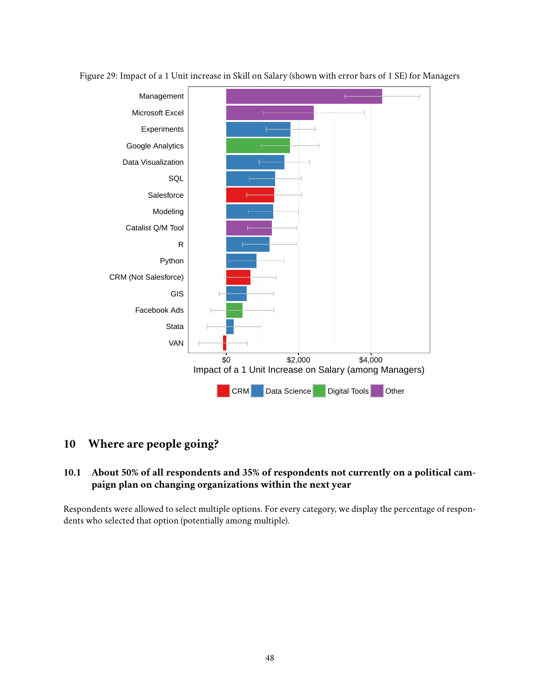<span id="page-47-2"></span>

Figure 29: Impact of a 1 Unit increase in Skill on Salary (shown with error bars of 1 SE) for Managers

## <span id="page-47-0"></span>**10 Where are people going?**

## <span id="page-47-1"></span>**10.1 About 50% of all respondents and 35% of respondents not currently on a political campaign plan on changing organizations within the next year**

Respondents were allowed to select multiple options. For every category, we display the percentage of respondents who selected that option (potentially among multiple).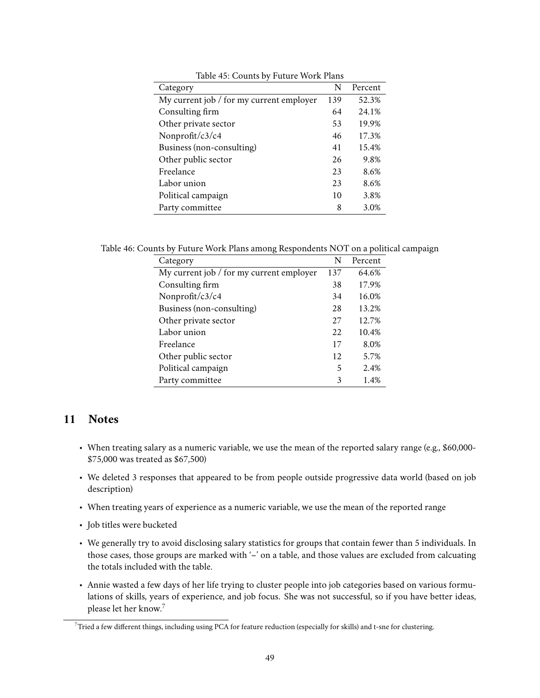| Category                                 | N   | Percent |
|------------------------------------------|-----|---------|
| My current job / for my current employer | 139 | 52.3%   |
| Consulting firm                          | 64  | 24.1%   |
| Other private sector                     | 53  | 19.9%   |
| Nonprofit/c3/c4                          | 46  | 17.3%   |
| Business (non-consulting)                | 41  | 15.4%   |
| Other public sector                      | 26  | 9.8%    |
| Freelance                                | 23  | 8.6%    |
| Labor union                              | 23  | 8.6%    |
| Political campaign                       | 10  | 3.8%    |
| Party committee                          | 8   | 3.0%    |

<span id="page-48-2"></span>Table 45: Counts by Future Work Plans

Table 46: Counts by Future Work Plans among Respondents NOT on a political campaign

<span id="page-48-3"></span>

| Category                                   | N   | Percent |
|--------------------------------------------|-----|---------|
| My current job $/$ for my current employer | 137 | 64.6%   |
| Consulting firm                            | 38  | 17.9%   |
| Nonprofit/c3/c4                            | 34  | 16.0%   |
| Business (non-consulting)                  | 28  | 13.2%   |
| Other private sector                       | 27  | 12.7%   |
| Labor union                                | 22  | 10.4%   |
| Freelance                                  | 17  | 8.0%    |
| Other public sector                        | 12  | 5.7%    |
| Political campaign                         | 5   | 2.4%    |
| Party committee                            | 3   | 1.4%    |

## <span id="page-48-0"></span>**11 Notes**

- When treating salary as a numeric variable, we use the mean of the reported salary range (e.g., \$60,000- \$75,000 was treated as \$67,500)
- We deleted 3 responses that appeared to be from people outside progressive data world (based on job description)
- When treating years of experience as a numeric variable, we use the mean of the reported range
- Job titles were bucketed
- We generally try to avoid disclosing salary statistics for groups that contain fewer than 5 individuals. In those cases, those groups are marked with '-' on a table, and those values are excluded from calcuating the totals included with the table.
- Annie wasted a few days of her life trying to cluster people into job categories based on various formulations of skills, years of experience, and job focus. She was not successful, so if you have better ideas, please let her know.[7](#page-48-1)

<span id="page-48-1"></span> $7$ Tried a few different things, including using PCA for feature reduction (especially for skills) and t-sne for clustering.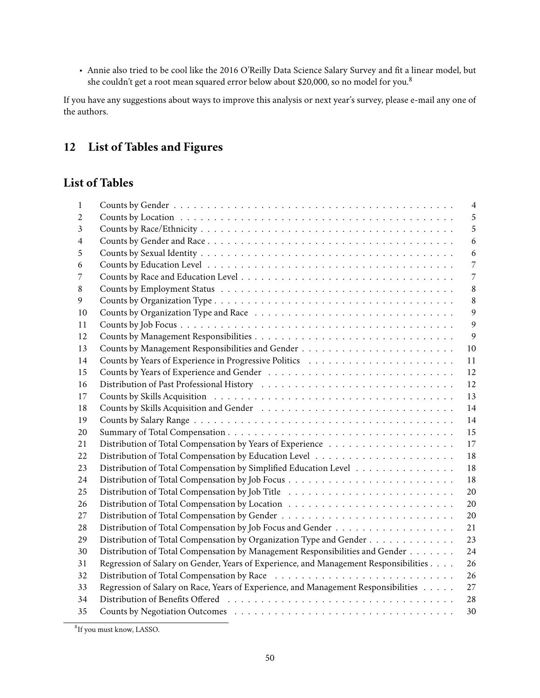• Annie also tried to be cool like the [2016 O'Reilly Data Science Salary Survey](https://www.oreilly.com/ideas/2015-data-science-salary-survey) and fit a linear model, but she couldn't get a root mean squared error below about \$20,000, so no model for you.[8](#page-49-1)

If you have any suggestions about ways to improve this analysis or next year's survey, please e-mail any one of the authors.

## <span id="page-49-0"></span>**12 List of Tables and Figures**

## **List of Tables**

| 1  |                                                                                      | $\overline{4}$ |
|----|--------------------------------------------------------------------------------------|----------------|
| 2  |                                                                                      | 5              |
| 3  |                                                                                      | 5              |
| 4  |                                                                                      | 6              |
| 5  |                                                                                      | 6              |
| 6  |                                                                                      | 7              |
| 7  |                                                                                      | 7              |
| 8  |                                                                                      | $\,8\,$        |
| 9  |                                                                                      | 8              |
| 10 |                                                                                      | 9              |
| 11 |                                                                                      | 9              |
| 12 |                                                                                      | 9              |
| 13 |                                                                                      | 10             |
| 14 |                                                                                      | 11             |
| 15 |                                                                                      | 12             |
| 16 |                                                                                      | 12             |
| 17 |                                                                                      | 13             |
| 18 |                                                                                      | 14             |
| 19 |                                                                                      | 14             |
| 20 |                                                                                      | 15             |
| 21 |                                                                                      | 17             |
| 22 |                                                                                      | 18             |
| 23 | Distribution of Total Compensation by Simplified Education Level                     | 18             |
| 24 |                                                                                      | 18             |
| 25 |                                                                                      | 20             |
| 26 |                                                                                      | 20             |
| 27 |                                                                                      | 20             |
| 28 |                                                                                      | 21             |
| 29 | Distribution of Total Compensation by Organization Type and Gender                   | 23             |
| 30 | Distribution of Total Compensation by Management Responsibilities and Gender         | 24             |
| 31 | Regression of Salary on Gender, Years of Experience, and Management Responsibilities | 26             |
| 32 |                                                                                      | 26             |
| 33 | Regression of Salary on Race, Years of Experience, and Management Responsibilities   | 27             |
| 34 |                                                                                      | 28             |
| 35 |                                                                                      | 30             |

<span id="page-49-1"></span><sup>8</sup> If you must know, LASSO.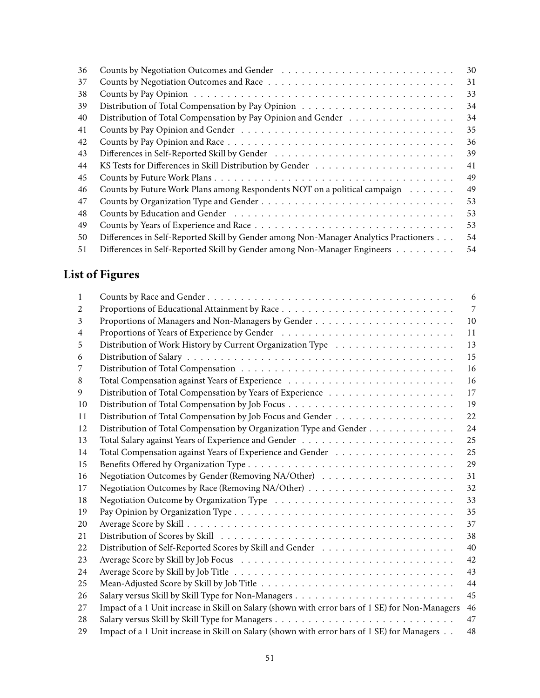| 36 |                                                                                      | 30 |
|----|--------------------------------------------------------------------------------------|----|
| 37 |                                                                                      | 31 |
| 38 |                                                                                      | 33 |
| 39 |                                                                                      | 34 |
| 40 | Distribution of Total Compensation by Pay Opinion and Gender                         | 34 |
| 41 |                                                                                      | 35 |
| 42 |                                                                                      | 36 |
| 43 |                                                                                      | 39 |
| 44 |                                                                                      | 41 |
| 45 |                                                                                      | 49 |
| 46 | Counts by Future Work Plans among Respondents NOT on a political campaign            | 49 |
| 47 |                                                                                      | 53 |
| 48 |                                                                                      | 53 |
| 49 |                                                                                      | 53 |
| 50 | Differences in Self-Reported Skill by Gender among Non-Manager Analytics Practioners | 54 |
| 51 | Differences in Self-Reported Skill by Gender among Non-Manager Engineers             | 54 |

# **List of Figures**

| 1              |                                                                                                                                                                                                                                | 6              |
|----------------|--------------------------------------------------------------------------------------------------------------------------------------------------------------------------------------------------------------------------------|----------------|
| 2              |                                                                                                                                                                                                                                | $\overline{7}$ |
| 3              |                                                                                                                                                                                                                                | 10             |
| $\overline{4}$ |                                                                                                                                                                                                                                | 11             |
| 5              |                                                                                                                                                                                                                                | 13             |
| 6              |                                                                                                                                                                                                                                | 15             |
| 7              |                                                                                                                                                                                                                                | 16             |
| 8              |                                                                                                                                                                                                                                | 16             |
| 9              |                                                                                                                                                                                                                                | 17             |
| 10             |                                                                                                                                                                                                                                | 19             |
| 11             |                                                                                                                                                                                                                                | 22             |
| 12             | Distribution of Total Compensation by Organization Type and Gender                                                                                                                                                             | 24             |
| 13             |                                                                                                                                                                                                                                | 25             |
| 14             |                                                                                                                                                                                                                                | 25             |
| 15             |                                                                                                                                                                                                                                | 29             |
| 16             |                                                                                                                                                                                                                                | 31             |
| 17             |                                                                                                                                                                                                                                | 32             |
| 18             |                                                                                                                                                                                                                                | 33             |
| 19             |                                                                                                                                                                                                                                | 35             |
| 20             |                                                                                                                                                                                                                                | 37             |
| 21             | Distribution of Scores by Skill (and contained a series of the series of the series of the series of the series of the series of the series of the series of the series of the series of the series of the series of the serie | 38             |
| 22             |                                                                                                                                                                                                                                | 40             |
| 23             |                                                                                                                                                                                                                                | 42             |
| 24             |                                                                                                                                                                                                                                | 43             |
| 25             |                                                                                                                                                                                                                                | 44             |
| 26             |                                                                                                                                                                                                                                | 45             |
| 27             | Impact of a 1 Unit increase in Skill on Salary (shown with error bars of 1 SE) for Non-Managers                                                                                                                                | 46             |
| 28             |                                                                                                                                                                                                                                | 47             |
| 29             | Impact of a 1 Unit increase in Skill on Salary (shown with error bars of 1 SE) for Managers                                                                                                                                    | 48             |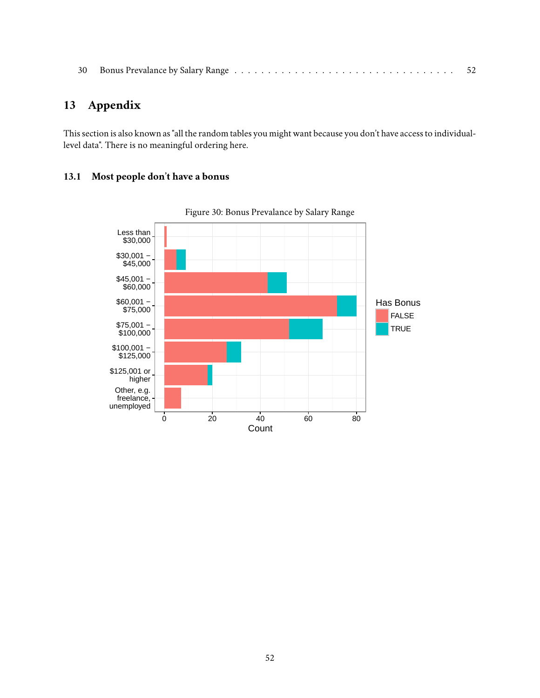|  |  |  | - 52 |
|--|--|--|------|
|--|--|--|------|

## <span id="page-51-0"></span>**13 Appendix**

This section is also known as "all the random tables you might want because you don't have access to individuallevel data". There is no meaningful ordering here.

## <span id="page-51-1"></span>**13.1 Most people don't have a bonus**



<span id="page-51-2"></span>Figure 30: Bonus Prevalance by Salary Range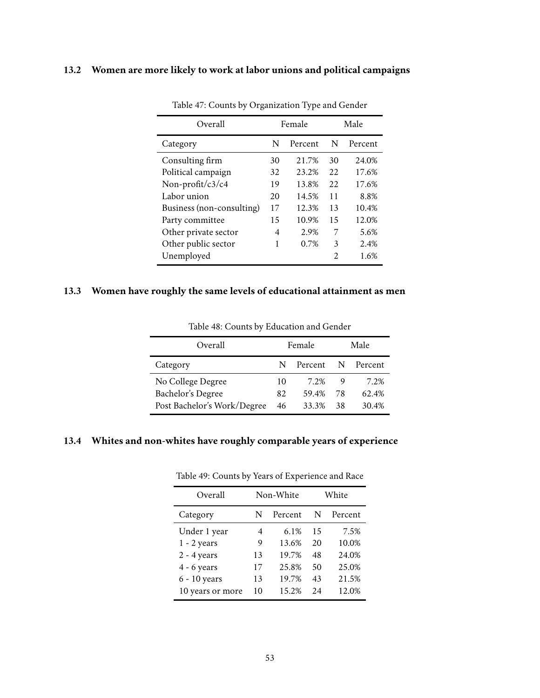## <span id="page-52-0"></span>**13.2 Women are more likely to work at labor unions and political campaigns**

| Overall                   |    | Female  |                       | Male    |
|---------------------------|----|---------|-----------------------|---------|
| Category                  | N  | Percent | N                     | Percent |
| Consulting firm           | 30 | 21.7%   | 30                    | 24.0%   |
| Political campaign        | 32 | 23.2%   | 22                    | 17.6%   |
| Non-profit/ $c3/c4$       | 19 | 13.8%   | 22                    | 17.6%   |
| Labor union               | 20 | 14.5%   | 11                    | 8.8%    |
| Business (non-consulting) | 17 | 12.3%   | 13                    | 10.4%   |
| Party committee           | 15 | 10.9%   | 15                    | 12.0%   |
| Other private sector      | 4  | 2.9%    | 7                     | 5.6%    |
| Other public sector       | 1  | 0.7%    | 3                     | 2.4%    |
| Unemployed                |    |         | $\mathcal{D}_{\cdot}$ | 1.6%    |

<span id="page-52-4"></span>Table 47: Counts by Organization Type and Gender

## <span id="page-52-1"></span>**13.3 Women have roughly the same levels of educational attainment as men**

| Overall                     | Female |         |     | Male    |
|-----------------------------|--------|---------|-----|---------|
| Category                    | N      | Percent | N   | Percent |
| No College Degree           | 10     | 7 2%    | 9   | 7 2%    |
| Bachelor's Degree           | 82     | 59.4%   | 78  | 62.4%   |
| Post Bachelor's Work/Degree | 46     | 33.3%   | -38 | 30.4%   |

<span id="page-52-3"></span>Table 48: Counts by Education and Gender

## <span id="page-52-2"></span>**13.4 Whites and non-whites have roughly comparable years of experience**

| Overall          |    | Non-White | White |         |  |
|------------------|----|-----------|-------|---------|--|
| Category         | N  | Percent   | N     | Percent |  |
| Under 1 year     | 4  | 6.1%      | 15    | 7.5%    |  |
| $1 - 2$ years    | 9  | 13.6%     | 20    | 10.0%   |  |
| $2 - 4$ years    | 13 | 19.7%     | 48    | 24.0%   |  |
| $4 - 6$ years    | 17 | 25.8%     | 50    | 25.0%   |  |
| 6 - 10 years     | 13 | 19.7%     | 43    | 21.5%   |  |
| 10 years or more | 10 | 15.2%     | 2.4   | 12.0%   |  |

<span id="page-52-5"></span>Table 49: Counts by Years of Experience and Race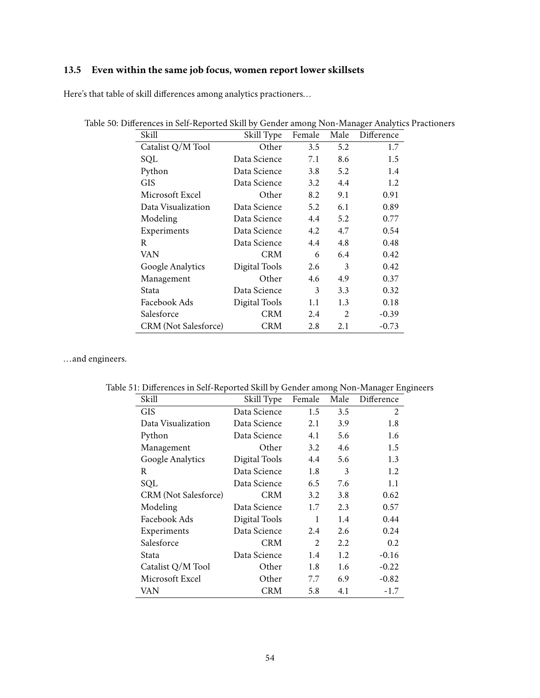## <span id="page-53-0"></span>**13.5 Even within the same job focus, women report lower skillsets**

Here's that table of skill differences among analytics practioners...

<span id="page-53-1"></span>

| Skill                       | Skill Type    | Female | Male           | Difference |
|-----------------------------|---------------|--------|----------------|------------|
| Catalist Q/M Tool           | Other         | 3.5    | 5.2            | 1.7        |
| SQL                         | Data Science  | 7.1    | 8.6            | 1.5        |
| Python                      | Data Science  | 3.8    | 5.2            | 1.4        |
| <b>GIS</b>                  | Data Science  | 3.2    | 4.4            | 1.2        |
| Microsoft Excel             | Other         | 8.2    | 9.1            | 0.91       |
| Data Visualization          | Data Science  | 5.2    | 6.1            | 0.89       |
| Modeling                    | Data Science  | 4.4    | 5.2            | 0.77       |
| Experiments                 | Data Science  | 4.2    | 4.7            | 0.54       |
| R                           | Data Science  | 4.4    | 4.8            | 0.48       |
| VAN                         | <b>CRM</b>    | 6      | 6.4            | 0.42       |
| Google Analytics            | Digital Tools | 2.6    | 3              | 0.42       |
| Management                  | Other         | 4.6    | 4.9            | 0.37       |
| Stata                       | Data Science  | 3      | 3.3            | 0.32       |
| Facebook Ads                | Digital Tools | 1.1    | 1.3            | 0.18       |
| Salesforce                  | <b>CRM</b>    | 2.4    | $\mathfrak{D}$ | $-0.39$    |
| <b>CRM</b> (Not Salesforce) | <b>CRM</b>    | 2.8    | 2.1            | $-0.73$    |

| Table 50: Differences in Self-Reported Skill by Gender among Non-Manager Analytics Practioners |  |  |
|------------------------------------------------------------------------------------------------|--|--|
|                                                                                                |  |  |

...and engineers.

<span id="page-53-2"></span>

| Skill                       | Skill Type    | Female | Male | Difference |
|-----------------------------|---------------|--------|------|------------|
| <b>GIS</b>                  | Data Science  | 1.5    | 3.5  | 2          |
| Data Visualization          | Data Science  | 2.1    | 3.9  | 1.8        |
| Python                      | Data Science  | 4.1    | 5.6  | 1.6        |
| Management                  | Other         | 3.2    | 4.6  | 1.5        |
| Google Analytics            | Digital Tools | 4.4    | 5.6  | 1.3        |
| R.                          | Data Science  | 1.8    | 3    | 1.2        |
| SQL                         | Data Science  | 6.5    | 7.6  | 1.1        |
| <b>CRM</b> (Not Salesforce) | <b>CRM</b>    | 3.2    | 3.8  | 0.62       |
| Modeling                    | Data Science  | 1.7    | 2.3  | 0.57       |
| Facebook Ads                | Digital Tools | 1      | 1.4  | 0.44       |
| Experiments                 | Data Science  | 2.4    | 2.6  | 0.24       |
| Salesforce                  | <b>CRM</b>    | 2      | 2.2  | 0.2        |
| Stata                       | Data Science  | 1.4    | 1.2  | $-0.16$    |
| Catalist Q/M Tool           | Other         | 1.8    | 1.6  | $-0.22$    |
| Microsoft Excel             | Other         | 7.7    | 6.9  | $-0.82$    |
| VAN                         | <b>CRM</b>    | 5.8    | 4.1  | $-1.7$     |
|                             |               |        |      |            |

Table 51: Differences in Self-Reported Skill by Gender among Non-Manager Engineers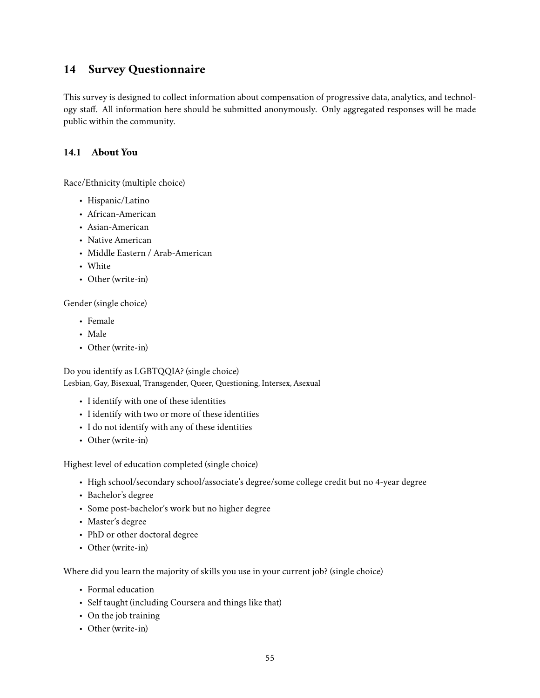## <span id="page-54-0"></span>**14 Survey Questionnaire**

This survey is designed to collect information about compensation of progressive data, analytics, and technology staff. All information here should be submitted anonymously. Only aggregated responses will be made public within the community.

### <span id="page-54-1"></span>**14.1 About You**

Race/Ethnicity (multiple choice)

- Hispanic/Latino
- African-American
- Asian-American
- Native American
- Middle Eastern / Arab-American
- White
- Other (write-in)

Gender (single choice)

- Female
- Male
- Other (write-in)

Do you identify as LGBTQQIA? (single choice) Lesbian, Gay, Bisexual, Transgender, Queer, Questioning, Intersex, Asexual

- I identify with one of these identities
- I identify with two or more of these identities
- I do not identify with any of these identities
- Other (write-in)

Highest level of education completed (single choice)

- High school/secondary school/associate's degree/some college credit but no 4-year degree
- Bachelor's degree
- Some post-bachelor's work but no higher degree
- Master's degree
- PhD or other doctoral degree
- Other (write-in)

Where did you learn the majority of skills you use in your current job? (single choice)

- Formal education
- Self taught (including Coursera and things like that)
- On the job training
- Other (write-in)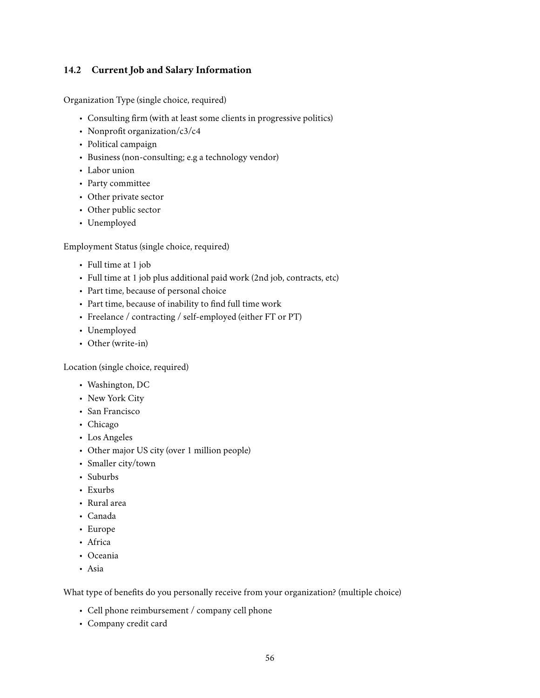### <span id="page-55-0"></span>**14.2 Current Job and Salary Information**

Organization Type (single choice, required)

- Consulting firm (with at least some clients in progressive politics)
- Nonprofit organization/c3/c4
- Political campaign
- Business (non-consulting; e.g a technology vendor)
- Labor union
- Party committee
- Other private sector
- Other public sector
- Unemployed

Employment Status (single choice, required)

- Full time at 1 job
- Full time at 1 job plus additional paid work (2nd job, contracts, etc)
- Part time, because of personal choice
- Part time, because of inability to find full time work
- Freelance / contracting / self-employed (either FT or PT)
- Unemployed
- Other (write-in)

Location (single choice, required)

- Washington, DC
- New York City
- San Francisco
- Chicago
- Los Angeles
- Other major US city (over 1 million people)
- Smaller city/town
- Suburbs
- Exurbs
- Rural area
- Canada
- Europe
- Africa
- Oceania
- Asia

What type of benefits do you personally receive from your organization? (multiple choice)

- Cell phone reimbursement / company cell phone
- Company credit card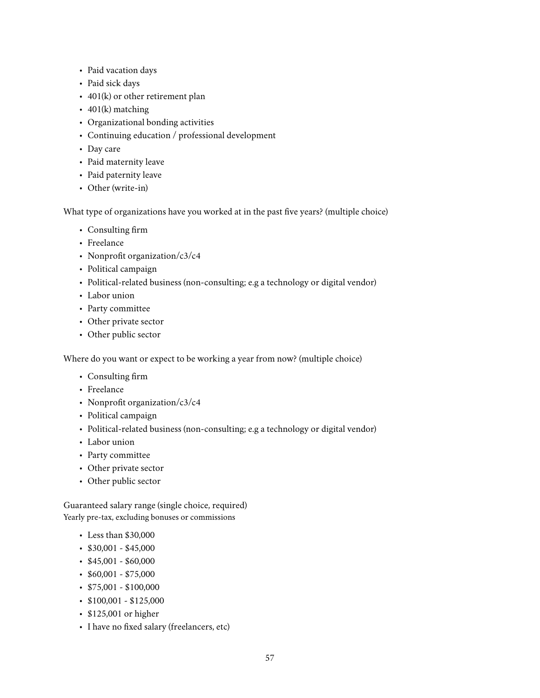- Paid vacation days
- Paid sick days
- 401(k) or other retirement plan
- $401(k)$  matching
- Organizational bonding activities
- Continuing education / professional development
- Day care
- Paid maternity leave
- Paid paternity leave
- Other (write-in)

What type of organizations have you worked at in the past five years? (multiple choice)

- Consulting firm
- Freelance
- Nonprofit organization/c3/c4
- Political campaign
- Political-related business (non-consulting; e.g a technology or digital vendor)
- Labor union
- Party committee
- Other private sector
- Other public sector

Where do you want or expect to be working a year from now? (multiple choice)

- Consulting firm
- Freelance
- Nonprofit organization/c3/c4
- Political campaign
- Political-related business (non-consulting; e.g a technology or digital vendor)
- Labor union
- Party committee
- Other private sector
- Other public sector

Guaranteed salary range (single choice, required) Yearly pre-tax, excluding bonuses or commissions

- Less than \$30,000
- $\cdot$  \$30,001 \$45,000
- $$45,001 $60,000$
- $$60,001 $75,000$
- $\cdot$  \$75,001 \$100,000
- \$100,001 \$125,000
- \$125,001 or higher
- I have no fixed salary (freelancers, etc)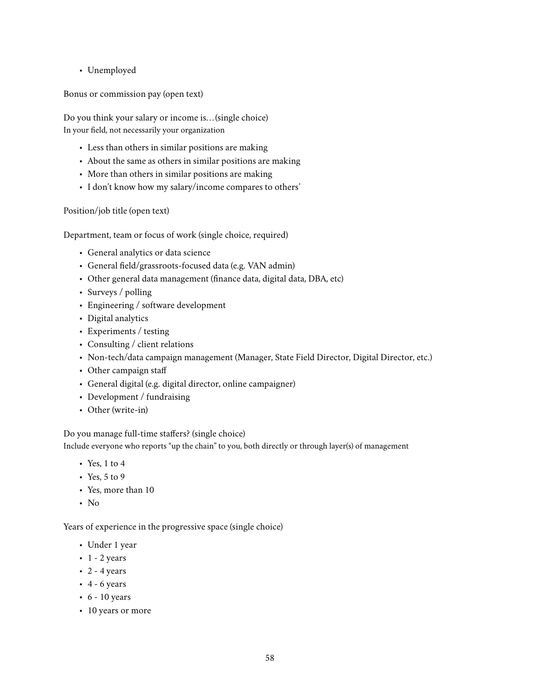• Unemployed

Bonus or commission pay (open text)

Do you think your salary or income is... (single choice) In your field, not necessarily your organization

- Less than others in similar positions are making
- About the same as others in similar positions are making
- More than others in similar positions are making
- I don't know how my salary/income compares to others'

Position/job title (open text)

Department, team or focus of work (single choice, required)

- General analytics or data science
- General field/grassroots-focused data (e.g. VAN admin)
- Other general data management (finance data, digital data, DBA, etc)
- Surveys / polling
- Engineering / software development
- Digital analytics
- Experiments / testing
- Consulting / client relations
- Non-tech/data campaign management (Manager, State Field Director, Digital Director, etc.)
- Other campaign staff
- General digital (e.g. digital director, online campaigner)
- Development / fundraising
- Other (write-in)

Do you manage full-time staffers? (single choice) Include everyone who reports "up the chain" to you, both directly or through layer(s) of management

- Yes, 1 to 4
- Yes, 5 to 9
- Yes, more than 10
- No

Years of experience in the progressive space (single choice)

- Under 1 year
- $\cdot$  1 2 years
- $\cdot$  2 4 years
- $\cdot$  4 6 years
- $\cdot$  6 10 years
- 10 years or more